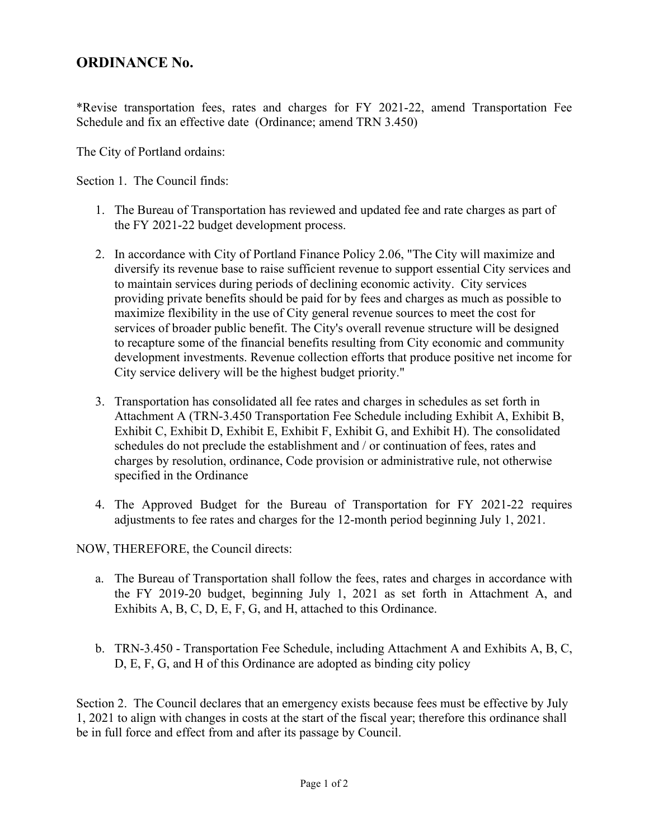## **ORDINANCE No.**

\*Revise transportation fees, rates and charges for FY 2021-22, amend Transportation Fee Schedule and fix an effective date (Ordinance; amend TRN 3.450)

The City of Portland ordains:

Section 1. The Council finds:

- 1. The Bureau of Transportation has reviewed and updated fee and rate charges as part of the FY 2021-22 budget development process.
- 2. In accordance with City of Portland Finance Policy 2.06, "The City will maximize and diversify its revenue base to raise sufficient revenue to support essential City services and to maintain services during periods of declining economic activity. City services providing private benefits should be paid for by fees and charges as much as possible to maximize flexibility in the use of City general revenue sources to meet the cost for services of broader public benefit. The City's overall revenue structure will be designed to recapture some of the financial benefits resulting from City economic and community development investments. Revenue collection efforts that produce positive net income for City service delivery will be the highest budget priority."
- 3. Transportation has consolidated all fee rates and charges in schedules as set forth in Attachment A (TRN-3.450 Transportation Fee Schedule including Exhibit A, Exhibit B, Exhibit C, Exhibit D, Exhibit E, Exhibit F, Exhibit G, and Exhibit H). The consolidated schedules do not preclude the establishment and / or continuation of fees, rates and charges by resolution, ordinance, Code provision or administrative rule, not otherwise specified in the Ordinance
- 4. The Approved Budget for the Bureau of Transportation for FY 2021-22 requires adjustments to fee rates and charges for the 12-month period beginning July 1, 2021.

NOW, THEREFORE, the Council directs:

- a. The Bureau of Transportation shall follow the fees, rates and charges in accordance with the FY 2019-20 budget, beginning July 1, 2021 as set forth in Attachment A, and Exhibits A, B, C, D, E, F, G, and H, attached to this Ordinance.
- b. TRN-3.450 Transportation Fee Schedule, including Attachment A and Exhibits A, B, C, D, E, F, G, and H of this Ordinance are adopted as binding city policy

Section 2. The Council declares that an emergency exists because fees must be effective by July 1, 2021 to align with changes in costs at the start of the fiscal year; therefore this ordinance shall be in full force and effect from and after its passage by Council.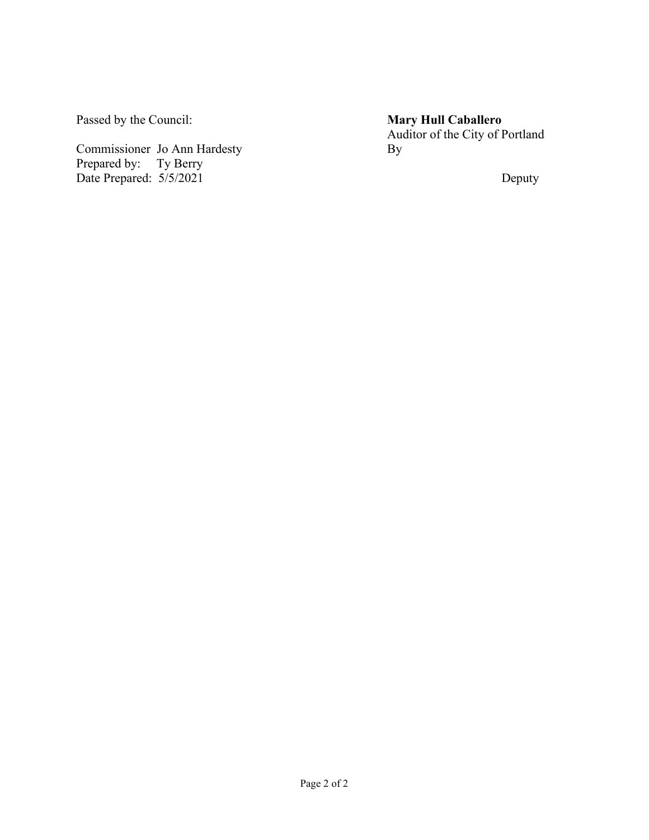Passed by the Council:

Commissioner Jo Ann Hardesty Prepared by: Ty Berry Date Prepared: 5/5/2021

**Mary Hull Caballero** Auditor of the City of Portland By

Deputy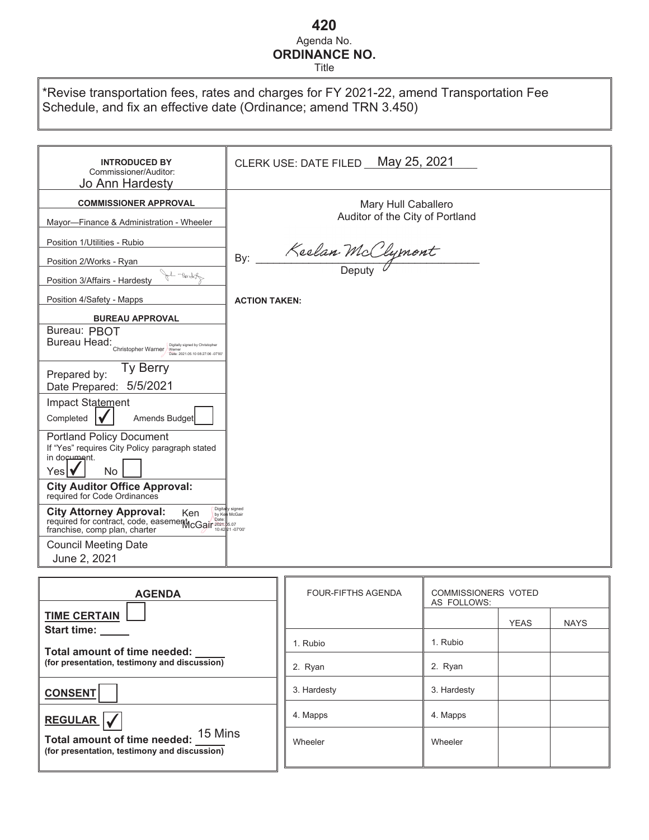# **420** Agenda No. **ORDINANCE NO.**

Title

| *Revise transportation fees, rates and charges for FY 2021-22, amend Transportation Fee |  |
|-----------------------------------------------------------------------------------------|--|
| Schedule, and fix an effective date (Ordinance; amend TRN 3.450)                        |  |

| <b>INTRODUCED BY</b><br>Commissioner/Auditor:<br>Jo Ann Hardesty                                                                                                                                      | CLERK USE: DATE FILED May 25, 2021 |
|-------------------------------------------------------------------------------------------------------------------------------------------------------------------------------------------------------|------------------------------------|
| <b>COMMISSIONER APPROVAL</b>                                                                                                                                                                          | Mary Hull Caballero                |
| Mayor-Finance & Administration - Wheeler                                                                                                                                                              | Auditor of the City of Portland    |
| Position 1/Utilities - Rubio                                                                                                                                                                          |                                    |
| Position 2/Works - Ryan                                                                                                                                                                               | Keelan McClymont<br>By:            |
| Al World<br>Position 3/Affairs - Hardesty                                                                                                                                                             |                                    |
| Position 4/Safety - Mapps                                                                                                                                                                             | <b>ACTION TAKEN:</b>               |
| <b>BUREAU APPROVAL</b>                                                                                                                                                                                |                                    |
| Bureau: PBOT<br>Bureau Head:<br>Bureau Head:<br>Christopher Warner<br>Digitally signed by Christopher<br>Date: 2021 05:10 08:27:06 -07:00                                                             |                                    |
| Ty Berry<br>Prepared by:<br>5/5/2021<br>Date Prepared:                                                                                                                                                |                                    |
| Impact Statement<br>Completed<br>Amends Budget                                                                                                                                                        |                                    |
| <b>Portland Policy Document</b><br>If "Yes" requires City Policy paragraph stated<br>in document.<br>Yes   v<br><b>No</b>                                                                             |                                    |
| <b>City Auditor Office Approval:</b><br>required for Code Ordinances                                                                                                                                  |                                    |
| Digit<br><b>City Attorney Approval:</b><br>Ken<br><b>City Attorney Apple - - ----</b><br>required for contract, code, easement CGair 2021-85.07<br>about the charter<br>franchise, comp plan, charter | ly signed                          |
| <b>Council Meeting Date</b><br>June 2, 2021                                                                                                                                                           |                                    |

| <b>AGENDA</b>                                                                           | <b>FOUR-FIFTHS AGENDA</b> | <b>COMMISSIONERS VOTED</b><br>AS FOLLOWS: |             |             |
|-----------------------------------------------------------------------------------------|---------------------------|-------------------------------------------|-------------|-------------|
| <b>TIME CERTAIN</b><br><b>Start time:</b>                                               |                           |                                           | <b>YEAS</b> | <b>NAYS</b> |
| Total amount of time needed:                                                            | 1. Rubio                  | 1. Rubio                                  |             |             |
| (for presentation, testimony and discussion)                                            | 2. Ryan                   | 2. Ryan                                   |             |             |
| <b>CONSENT</b>                                                                          | 3. Hardesty               | 3. Hardesty                               |             |             |
| <b>REGULAR</b>                                                                          | 4. Mapps                  | 4. Mapps                                  |             |             |
| 15 Mins<br>Total amount of time needed:<br>(for presentation, testimony and discussion) | Wheeler                   | Wheeler                                   |             |             |
|                                                                                         |                           |                                           |             |             |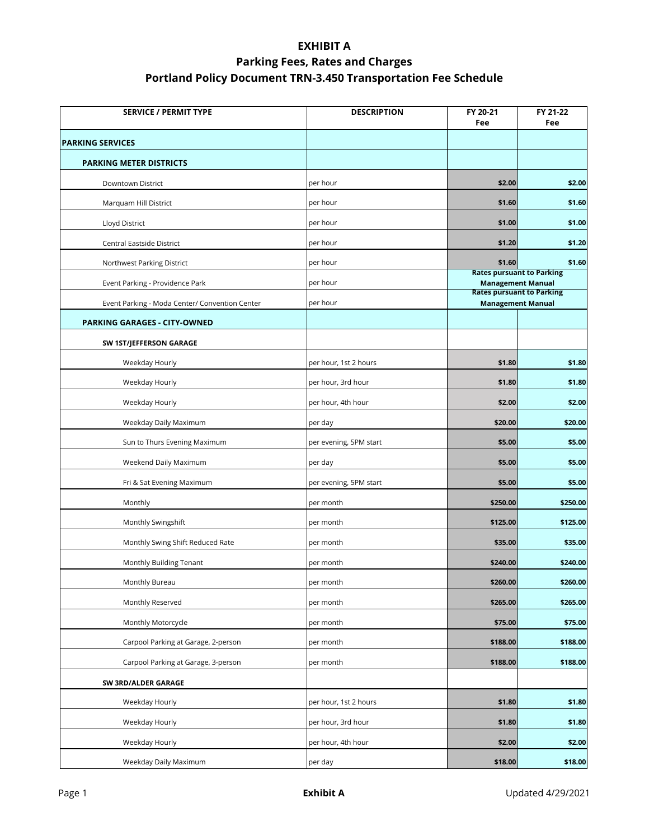| <b>SERVICE / PERMIT TYPE</b>                   | <b>DESCRIPTION</b>     | FY 20-21<br>Fee                                              | FY 21-22<br>Fee |
|------------------------------------------------|------------------------|--------------------------------------------------------------|-----------------|
| <b>PARKING SERVICES</b>                        |                        |                                                              |                 |
| <b>PARKING METER DISTRICTS</b>                 |                        |                                                              |                 |
| Downtown District                              | per hour               | \$2.00                                                       | \$2.00          |
| Marquam Hill District                          | per hour               | \$1.60                                                       | \$1.60          |
| Lloyd District                                 | per hour               | \$1.00                                                       | \$1.00          |
| Central Eastside District                      | per hour               | \$1.20                                                       | \$1.20          |
| Northwest Parking District                     | per hour               | \$1.60                                                       | \$1.60          |
| Event Parking - Providence Park                | per hour               | <b>Rates pursuant to Parking</b><br><b>Management Manual</b> |                 |
| Event Parking - Moda Center/ Convention Center | per hour               | <b>Rates pursuant to Parking</b><br><b>Management Manual</b> |                 |
| PARKING GARAGES - CITY-OWNED                   |                        |                                                              |                 |
| SW 1ST/JEFFERSON GARAGE                        |                        |                                                              |                 |
| Weekday Hourly                                 | per hour, 1st 2 hours  | \$1.80                                                       | \$1.80          |
| Weekday Hourly                                 | per hour, 3rd hour     | \$1.80                                                       | \$1.80          |
| Weekday Hourly                                 | per hour, 4th hour     | \$2.00                                                       | \$2.00          |
| Weekday Daily Maximum                          | per day                | \$20.00                                                      | \$20.00         |
| Sun to Thurs Evening Maximum                   | per evening, 5PM start | \$5.00                                                       | \$5.00          |
| Weekend Daily Maximum                          | per day                | \$5.00                                                       | \$5.00          |
| Fri & Sat Evening Maximum                      | per evening, 5PM start | \$5.00                                                       | \$5.00          |
| Monthly                                        | per month              | \$250.00                                                     | \$250.00        |
| Monthly Swingshift                             | per month              | \$125.00                                                     | \$125.00        |
| Monthly Swing Shift Reduced Rate               | per month              | \$35.00                                                      | \$35.00         |
| Monthly Building Tenant                        | per month              | \$240.00                                                     | \$240.00        |
| Monthly Bureau                                 | per month              | \$260.00                                                     | \$260.00        |
| Monthly Reserved                               | per month              | \$265.00                                                     | \$265.00        |
| Monthly Motorcycle                             | per month              | \$75.00                                                      | \$75.00         |
| Carpool Parking at Garage, 2-person            | per month              | \$188.00                                                     | \$188.00        |
| Carpool Parking at Garage, 3-person            | per month              | \$188.00                                                     | \$188.00        |
| SW 3RD/ALDER GARAGE                            |                        |                                                              |                 |
| Weekday Hourly                                 | per hour, 1st 2 hours  | \$1.80                                                       | \$1.80          |
| Weekday Hourly                                 | per hour, 3rd hour     | \$1.80                                                       | \$1.80          |
| Weekday Hourly                                 | per hour, 4th hour     | \$2.00                                                       | \$2.00          |
| Weekday Daily Maximum                          | per day                | \$18.00                                                      | \$18.00         |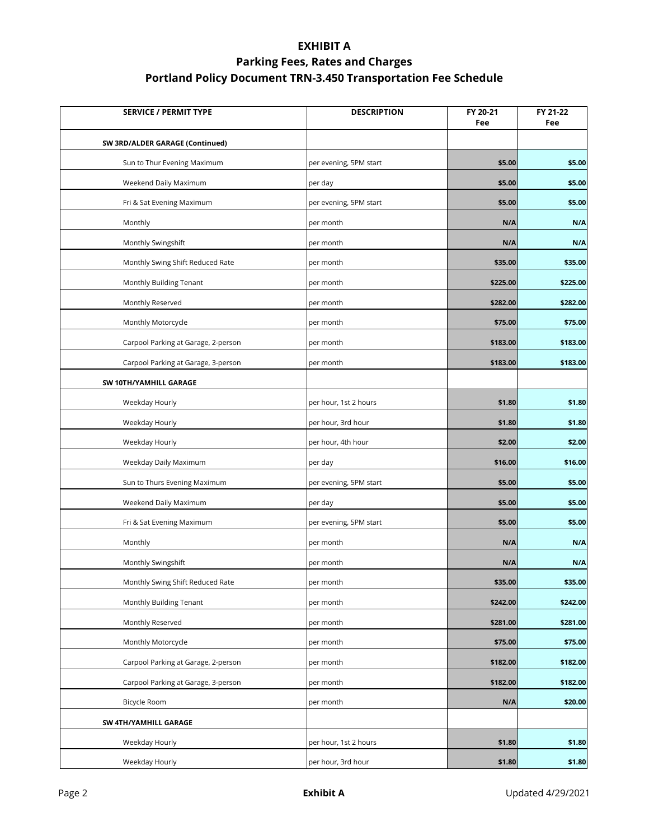| <b>SERVICE / PERMIT TYPE</b>        | <b>DESCRIPTION</b>     | FY 20-21<br>Fee | FY 21-22<br>Fee |
|-------------------------------------|------------------------|-----------------|-----------------|
| SW 3RD/ALDER GARAGE (Continued)     |                        |                 |                 |
| Sun to Thur Evening Maximum         | per evening, 5PM start | \$5.00          | \$5.00          |
| Weekend Daily Maximum               | per day                | \$5.00          | \$5.00          |
| Fri & Sat Evening Maximum           | per evening, 5PM start | \$5.00          | \$5.00          |
| Monthly                             | per month              | N/A             | N/A             |
| Monthly Swingshift                  | per month              | N/A             | N/A             |
| Monthly Swing Shift Reduced Rate    | per month              | \$35.00         | \$35.00         |
| Monthly Building Tenant             | per month              | \$225.00        | \$225.00        |
| Monthly Reserved                    | per month              | \$282.00        | \$282.00        |
| Monthly Motorcycle                  | per month              | \$75.00         | \$75.00         |
| Carpool Parking at Garage, 2-person | per month              | \$183.00        | \$183.00        |
| Carpool Parking at Garage, 3-person | per month              | \$183.00        | \$183.00        |
| SW 10TH/YAMHILL GARAGE              |                        |                 |                 |
| Weekday Hourly                      | per hour, 1st 2 hours  | \$1.80          | \$1.80          |
| Weekday Hourly                      | per hour, 3rd hour     | \$1.80          | \$1.80          |
| Weekday Hourly                      | per hour, 4th hour     | \$2.00          | \$2.00          |
| Weekday Daily Maximum               | per day                | \$16.00         | \$16.00         |
| Sun to Thurs Evening Maximum        | per evening, 5PM start | \$5.00          | \$5.00          |
| Weekend Daily Maximum               | per day                | \$5.00          | \$5.00          |
| Fri & Sat Evening Maximum           | per evening, 5PM start | \$5.00          | \$5.00          |
| Monthly                             | per month              | N/A             | N/A             |
| Monthly Swingshift                  | per month              | N/A             | N/A             |
| Monthly Swing Shift Reduced Rate    | per month              | \$35.00         | \$35.00         |
| Monthly Building Tenant             | per month              | \$242.00        | \$242.00        |
| Monthly Reserved                    | per month              | \$281.00        | \$281.00        |
| Monthly Motorcycle                  | per month              | \$75.00         | \$75.00         |
| Carpool Parking at Garage, 2-person | per month              | \$182.00        | \$182.00        |
| Carpool Parking at Garage, 3-person | per month              | \$182.00        | \$182.00        |
| Bicycle Room                        | per month              | N/A             | \$20.00         |
| SW 4TH/YAMHILL GARAGE               |                        |                 |                 |
| Weekday Hourly                      | per hour, 1st 2 hours  | \$1.80          | \$1.80          |
| Weekday Hourly                      | per hour, 3rd hour     | \$1.80          | \$1.80          |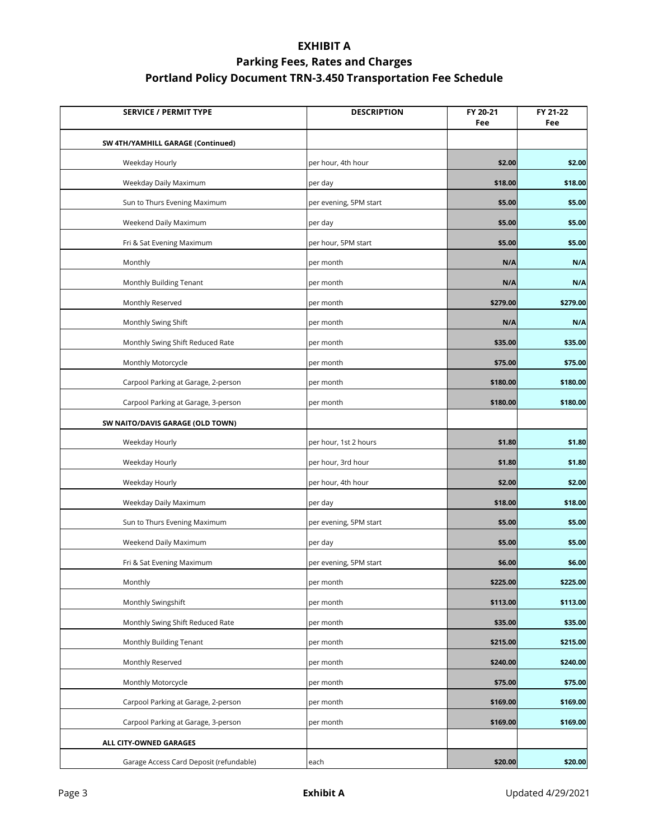| <b>SERVICE / PERMIT TYPE</b>            | <b>DESCRIPTION</b>     | FY 20-21<br>Fee | FY 21-22<br>Fee |
|-----------------------------------------|------------------------|-----------------|-----------------|
| SW 4TH/YAMHILL GARAGE (Continued)       |                        |                 |                 |
| Weekday Hourly                          | per hour, 4th hour     | \$2.00          | \$2.00          |
| Weekday Daily Maximum                   | per day                | \$18.00         | \$18.00         |
| Sun to Thurs Evening Maximum            | per evening, 5PM start | \$5.00          | \$5.00          |
| Weekend Daily Maximum                   | per day                | \$5.00          | \$5.00          |
| Fri & Sat Evening Maximum               | per hour, 5PM start    | \$5.00          | \$5.00          |
| Monthly                                 | per month              | N/A             | N/A             |
| Monthly Building Tenant                 | per month              | N/A             | N/A             |
| Monthly Reserved                        | per month              | \$279.00        | \$279.00        |
| Monthly Swing Shift                     | per month              | N/A             | N/A             |
| Monthly Swing Shift Reduced Rate        | per month              | \$35.00         | \$35.00         |
| Monthly Motorcycle                      | per month              | \$75.00         | \$75.00         |
| Carpool Parking at Garage, 2-person     | per month              | \$180.00        | \$180.00        |
| Carpool Parking at Garage, 3-person     | per month              | \$180.00        | \$180.00        |
| SW NAITO/DAVIS GARAGE (OLD TOWN)        |                        |                 |                 |
| Weekday Hourly                          | per hour, 1st 2 hours  | \$1.80          | \$1.80          |
| Weekday Hourly                          | per hour, 3rd hour     | \$1.80          | \$1.80          |
| Weekday Hourly                          | per hour, 4th hour     | \$2.00          | \$2.00          |
| Weekday Daily Maximum                   | per day                | \$18.00         | \$18.00         |
| Sun to Thurs Evening Maximum            | per evening, 5PM start | \$5.00          | \$5.00          |
| Weekend Daily Maximum                   | per day                | \$5.00          | \$5.00          |
| Fri & Sat Evening Maximum               | per evening, 5PM start | \$6.00          | \$6.00          |
| Monthly                                 | per month              | \$225.00        | \$225.00        |
| Monthly Swingshift                      | per month              | \$113.00        | \$113.00        |
| Monthly Swing Shift Reduced Rate        | per month              | \$35.00         | \$35.00         |
| Monthly Building Tenant                 | per month              | \$215.00        | \$215.00        |
| Monthly Reserved                        | per month              | \$240.00        | \$240.00        |
| Monthly Motorcycle                      | per month              | \$75.00         | \$75.00         |
| Carpool Parking at Garage, 2-person     | per month              | \$169.00        | \$169.00        |
| Carpool Parking at Garage, 3-person     | per month              | \$169.00        | \$169.00        |
| ALL CITY-OWNED GARAGES                  |                        |                 |                 |
| Garage Access Card Deposit (refundable) | each                   | \$20.00         | \$20.00         |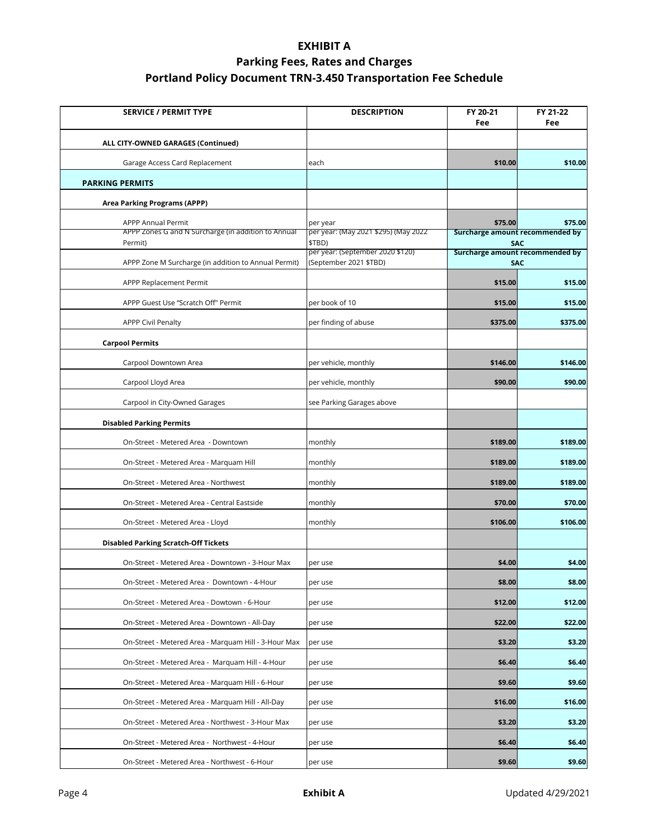| <b>SERVICE / PERMIT TYPE</b>                                   | <b>DESCRIPTION</b>                                         | FY 20-21<br>Fee | FY 21-22<br>Fee                               |
|----------------------------------------------------------------|------------------------------------------------------------|-----------------|-----------------------------------------------|
| ALL CITY-OWNED GARAGES (Continued)                             |                                                            |                 |                                               |
| Garage Access Card Replacement                                 | each                                                       | \$10.00         | \$10.00                                       |
| <b>PARKING PERMITS</b>                                         |                                                            |                 |                                               |
| Area Parking Programs (APPP)                                   |                                                            |                 |                                               |
| <b>APPP Annual Permit</b>                                      | per year                                                   | \$75.00         | \$75.00                                       |
| APPP Zones G and N Surcharge (in addition to Annual<br>Permit) | per year: (May 2021 \$295) (May 2022<br>\$TBD)             |                 | Surcharge amount recommended by<br><b>SAC</b> |
| APPP Zone M Surcharge (in addition to Annual Permit)           | per year: (September 2020 \$120)<br>(September 2021 \$TBD) |                 | Surcharge amount recommended by<br><b>SAC</b> |
| APPP Replacement Permit                                        |                                                            | \$15.00         | \$15.00                                       |
| APPP Guest Use "Scratch Off" Permit                            | per book of 10                                             | \$15.00         | \$15.00                                       |
| <b>APPP Civil Penalty</b>                                      | per finding of abuse                                       | \$375.00        | \$375.00                                      |
| <b>Carpool Permits</b>                                         |                                                            |                 |                                               |
| Carpool Downtown Area                                          | per vehicle, monthly                                       | \$146.00        | \$146.00                                      |
| Carpool Lloyd Area                                             | per vehicle, monthly                                       | \$90.00         | \$90.00                                       |
| Carpool in City-Owned Garages                                  | see Parking Garages above                                  |                 |                                               |
| <b>Disabled Parking Permits</b>                                |                                                            |                 |                                               |
| On-Street - Metered Area - Downtown                            | monthly                                                    | \$189.00        | \$189.00                                      |
| On-Street - Metered Area - Marquam Hill                        | monthly                                                    | \$189.00        | \$189.00                                      |
| On-Street - Metered Area - Northwest                           | monthly                                                    | \$189.00        | \$189.00                                      |
| On-Street - Metered Area - Central Eastside                    | monthly                                                    | \$70.00         | \$70.00                                       |
| On-Street - Metered Area - Lloyd                               | monthly                                                    | \$106.00        | \$106.00                                      |
| <b>Disabled Parking Scratch-Off Tickets</b>                    |                                                            |                 |                                               |
| On-Street - Metered Area - Downtown - 3-Hour Max               | per use                                                    | \$4.00          | \$4.00                                        |
| On-Street - Metered Area - Downtown - 4-Hour                   | per use                                                    | \$8.00          | \$8.00                                        |
| On-Street - Metered Area - Dowtown - 6-Hour                    | per use                                                    | \$12.00         | \$12.00                                       |
| On-Street - Metered Area - Downtown - All-Day                  | per use                                                    | \$22.00         | \$22.00                                       |
| On-Street - Metered Area - Marquam Hill - 3-Hour Max           | per use                                                    | \$3.20          | \$3.20                                        |
| On-Street - Metered Area - Marquam Hill - 4-Hour               | per use                                                    | \$6.40          | \$6.40                                        |
| On-Street - Metered Area - Marquam Hill - 6-Hour               | per use                                                    | \$9.60          | \$9.60                                        |
| On-Street - Metered Area - Marquam Hill - All-Day              | per use                                                    | \$16.00         | \$16.00                                       |
| On-Street - Metered Area - Northwest - 3-Hour Max              | per use                                                    | \$3.20          | \$3.20                                        |
| On-Street - Metered Area - Northwest - 4-Hour                  | per use                                                    | \$6.40          | \$6.40                                        |
| On-Street - Metered Area - Northwest - 6-Hour                  | per use                                                    | \$9.60          | \$9.60                                        |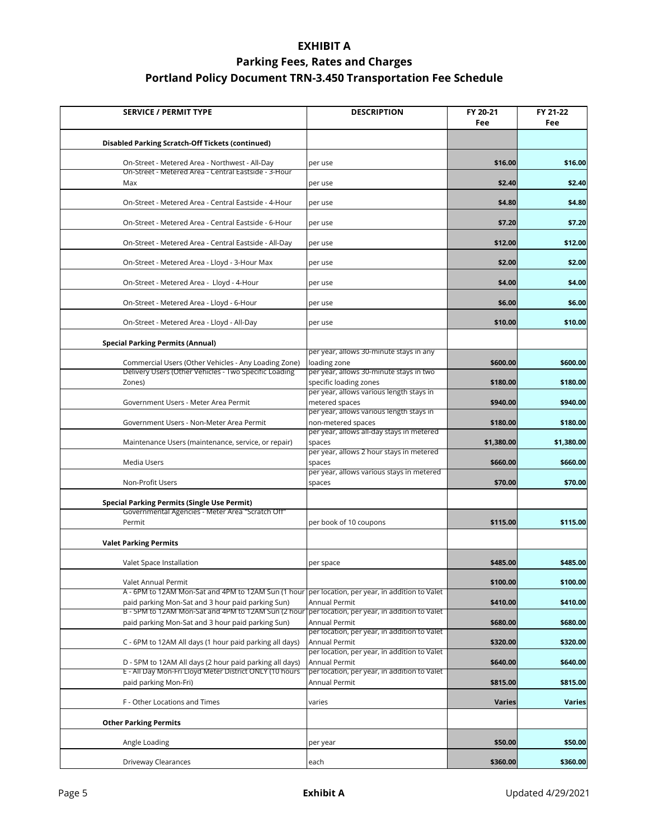| <b>SERVICE / PERMIT TYPE</b>                                                                                                                            | <b>DESCRIPTION</b>                                                   | FY 20-21<br>Fee | FY 21-22<br>Fee |
|---------------------------------------------------------------------------------------------------------------------------------------------------------|----------------------------------------------------------------------|-----------------|-----------------|
| Disabled Parking Scratch-Off Tickets (continued)                                                                                                        |                                                                      |                 |                 |
| On-Street - Metered Area - Northwest - All-Day                                                                                                          | per use                                                              | \$16.00         | \$16.00         |
| On-Street - Metered Area - Central Eastside - 3-Hour<br>Max                                                                                             | per use                                                              | \$2.40          | \$2.40          |
| On-Street - Metered Area - Central Eastside - 4-Hour                                                                                                    | per use                                                              | \$4.80          | \$4.80          |
| On-Street - Metered Area - Central Eastside - 6-Hour                                                                                                    | per use                                                              | \$7.20          | \$7.20          |
| On-Street - Metered Area - Central Eastside - All-Day                                                                                                   | per use                                                              | \$12.00         | \$12.00         |
| On-Street - Metered Area - Lloyd - 3-Hour Max                                                                                                           | per use                                                              | \$2.00          | \$2.00          |
| On-Street - Metered Area - Lloyd - 4-Hour                                                                                                               | per use                                                              | \$4.00          | \$4.00          |
| On-Street - Metered Area - Lloyd - 6-Hour                                                                                                               | per use                                                              | \$6.00          | \$6.00          |
| On-Street - Metered Area - Lloyd - All-Day                                                                                                              | per use                                                              | \$10.00         | \$10.00         |
| <b>Special Parking Permits (Annual)</b>                                                                                                                 |                                                                      |                 |                 |
| Commercial Users (Other Vehicles - Any Loading Zone)                                                                                                    | per year, allows 30-minute stays in any<br>loading zone              | \$600.00        | \$600.00        |
| Delivery Users (Other Vehicles - Two Specific Loading<br>Zones)                                                                                         | per year, allows 30-minute stays in two<br>specific loading zones    | \$180.00        | \$180.00        |
| Government Users - Meter Area Permit                                                                                                                    | per year, allows various length stays in<br>metered spaces           | \$940.00        | \$940.00        |
| Government Users - Non-Meter Area Permit                                                                                                                | per year, allows various length stays in<br>non-metered spaces       | \$180.00        | \$180.00        |
| Maintenance Users (maintenance, service, or repair)                                                                                                     | per year, allows all-day stays in metered<br>spaces                  | \$1,380.00      | \$1,380.00      |
| Media Users                                                                                                                                             | per year, allows 2 hour stays in metered<br>spaces                   | \$660.00        | \$660.00        |
| Non-Profit Users                                                                                                                                        | per year, allows various stays in metered<br>spaces                  | \$70.00         | \$70.00         |
| <b>Special Parking Permits (Single Use Permit)</b>                                                                                                      |                                                                      |                 |                 |
| Governmental Agencies - Meter Area "Scratch Off"<br>Permit                                                                                              | per book of 10 coupons                                               | \$115.00        | \$115.00        |
| <b>Valet Parking Permits</b>                                                                                                                            |                                                                      |                 |                 |
| Valet Space Installation                                                                                                                                | per space                                                            | \$485.00        | \$485.00        |
| Valet Annual Permit                                                                                                                                     |                                                                      | \$100.00        | \$100.00        |
| A - 6PM to 12AM Mon-Sat and 4PM to 12AM Sun (1 hour   per location, per year, in addition to Valet<br>paid parking Mon-Sat and 3 hour paid parking Sun) | Annual Permit                                                        | \$410.00        | \$410.00        |
| B - 5PM to 12AM Mon-Sat and 4PM to 12AM Sun (2 hour<br>paid parking Mon-Sat and 3 hour paid parking Sun)                                                | per location, per year, in addition to Valet<br><b>Annual Permit</b> | \$680.00        | \$680.00        |
| C - 6PM to 12AM All days (1 hour paid parking all days)                                                                                                 | per location, per year, in addition to Valet<br><b>Annual Permit</b> | \$320.00        | \$320.00        |
| D - 5PM to 12AM All days (2 hour paid parking all days)                                                                                                 | per location, per year, in addition to Valet<br>Annual Permit        | \$640.00        | \$640.00        |
| E - All Day Mon-Fri Lloyd Meter District ONLY (10 hours<br>paid parking Mon-Fri)                                                                        | per location, per year, in addition to Valet<br>Annual Permit        | \$815.00        | \$815.00        |
| F - Other Locations and Times                                                                                                                           | varies                                                               | <b>Varies</b>   | <b>Varies</b>   |
| <b>Other Parking Permits</b>                                                                                                                            |                                                                      |                 |                 |
| Angle Loading                                                                                                                                           | per year                                                             | \$50.00         | \$50.00         |
| Driveway Clearances                                                                                                                                     | each                                                                 | \$360.00        | \$360.00        |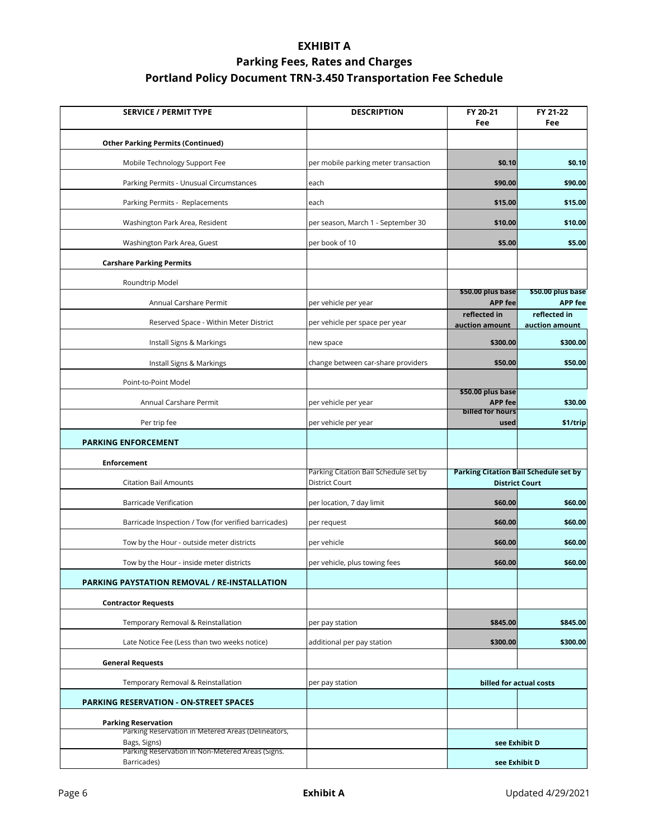| <b>SERVICE / PERMIT TYPE</b>                                       | <b>DESCRIPTION</b>                                             | FY 20-21<br>Fee                                                       | FY 21-22<br>Fee                     |
|--------------------------------------------------------------------|----------------------------------------------------------------|-----------------------------------------------------------------------|-------------------------------------|
| <b>Other Parking Permits (Continued)</b>                           |                                                                |                                                                       |                                     |
| Mobile Technology Support Fee                                      | per mobile parking meter transaction                           | \$0.10                                                                | \$0.10                              |
| Parking Permits - Unusual Circumstances                            | each                                                           | \$90.00                                                               | \$90.00                             |
| Parking Permits - Replacements                                     | each                                                           | \$15.00                                                               | \$15.00                             |
| Washington Park Area, Resident                                     | per season, March 1 - September 30                             | \$10.00                                                               | \$10.00                             |
| Washington Park Area, Guest                                        | per book of 10                                                 | \$5.00                                                                | \$5.00                              |
| <b>Carshare Parking Permits</b>                                    |                                                                |                                                                       |                                     |
| Roundtrip Model                                                    |                                                                |                                                                       |                                     |
| Annual Carshare Permit                                             | per vehicle per year                                           | \$50.00 plus base<br><b>APP fee</b>                                   | \$50.00 plus base<br><b>APP fee</b> |
| Reserved Space - Within Meter District                             | per vehicle per space per year                                 | reflected in<br>auction amount                                        | reflected in<br>auction amount      |
| Install Signs & Markings                                           | new space                                                      | \$300.00                                                              | \$300.00                            |
| Install Signs & Markings                                           | change between car-share providers                             | \$50.00                                                               | \$50.00                             |
| Point-to-Point Model                                               |                                                                |                                                                       |                                     |
| Annual Carshare Permit                                             | per vehicle per year                                           | \$50.00 plus base<br><b>APP fee</b>                                   | \$30.00                             |
| Per trip fee                                                       | per vehicle per year                                           | billed for hours<br>used                                              | \$1/trip                            |
| <b>PARKING ENFORCEMENT</b>                                         |                                                                |                                                                       |                                     |
| <b>Enforcement</b>                                                 |                                                                |                                                                       |                                     |
| <b>Citation Bail Amounts</b>                                       | Parking Citation Bail Schedule set by<br><b>District Court</b> | <b>Parking Citation Bail Schedule set by</b><br><b>District Court</b> |                                     |
| <b>Barricade Verification</b>                                      | per location, 7 day limit                                      | \$60.00                                                               | \$60.00                             |
| Barricade Inspection / Tow (for verified barricades)               | per request                                                    | \$60.00                                                               | \$60.00                             |
| Tow by the Hour - outside meter districts                          | per vehicle                                                    | \$60.00                                                               | \$60.00                             |
| Tow by the Hour - inside meter districts                           | per vehicle, plus towing fees                                  | \$60.00                                                               | \$60.00                             |
| PARKING PAYSTATION REMOVAL / RE-INSTALLATION                       |                                                                |                                                                       |                                     |
| <b>Contractor Requests</b>                                         |                                                                |                                                                       |                                     |
| Temporary Removal & Reinstallation                                 | per pay station                                                | \$845.00                                                              | \$845.00                            |
| Late Notice Fee (Less than two weeks notice)                       | additional per pay station                                     | \$300.00                                                              | \$300.00                            |
| <b>General Requests</b>                                            |                                                                |                                                                       |                                     |
| Temporary Removal & Reinstallation                                 | per pay station                                                | billed for actual costs                                               |                                     |
| <b>PARKING RESERVATION - ON-STREET SPACES</b>                      |                                                                |                                                                       |                                     |
| <b>Parking Reservation</b>                                         |                                                                |                                                                       |                                     |
| Parking Reservation in Metered Areas (Delineators,<br>Bags, Signs) |                                                                | see Exhibit D                                                         |                                     |
| Parking Reservation in Non-Metered Areas (Signs.<br>Barricades)    |                                                                | see Exhibit D                                                         |                                     |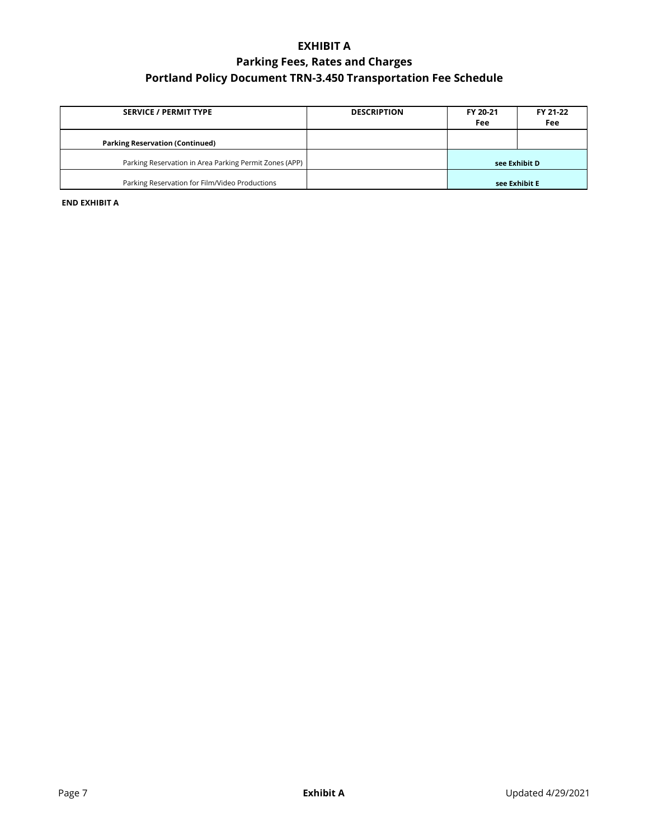| <b>SERVICE / PERMIT TYPE</b>                           | <b>DESCRIPTION</b> | FY 20-21<br>Fee | FY 21-22<br>Fee |
|--------------------------------------------------------|--------------------|-----------------|-----------------|
| <b>Parking Reservation (Continued)</b>                 |                    |                 |                 |
| Parking Reservation in Area Parking Permit Zones (APP) |                    | see Exhibit D   |                 |
| Parking Reservation for Film/Video Productions         |                    | see Exhibit E   |                 |

**END EXHIBIT A**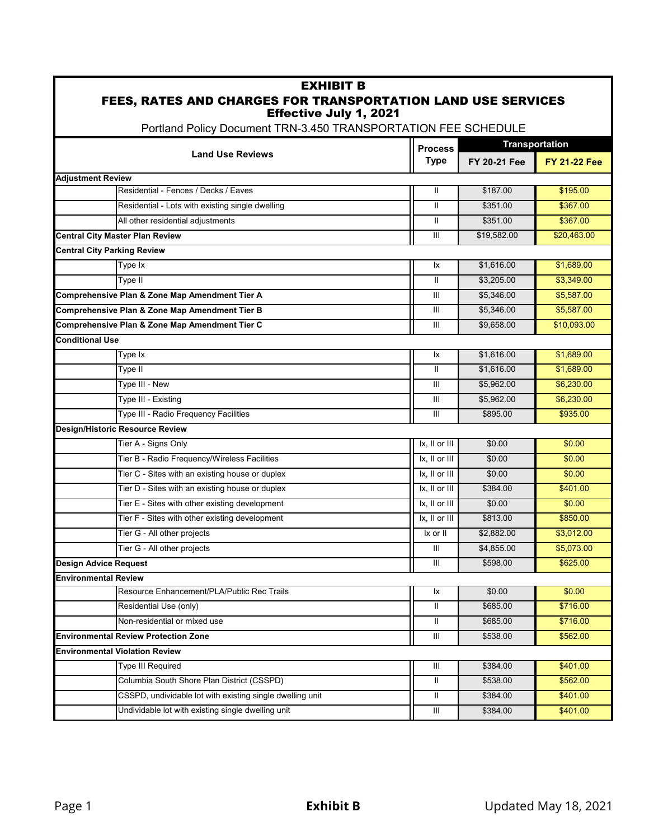#### EXHIBIT B FEES, RATES AND CHARGES FOR TRANSPORTATION LAND USE SERVICES Effective July 1, 2021

Portland Policy Document TRN-3.450 TRANSPORTATION FEE SCHEDULE

|                                                           |                                    | <b>Transportation</b> |                     |
|-----------------------------------------------------------|------------------------------------|-----------------------|---------------------|
| <b>Land Use Reviews</b>                                   | <b>Process</b><br><b>Type</b>      | <b>FY 20-21 Fee</b>   | <b>FY 21-22 Fee</b> |
| <b>Adjustment Review</b>                                  |                                    |                       |                     |
| Residential - Fences / Decks / Eaves                      | Ш                                  | \$187.00              | \$195.00            |
| Residential - Lots with existing single dwelling          | Ш                                  | \$351.00              | \$367.00            |
| All other residential adjustments                         | Ш                                  | \$351.00              | \$367.00            |
| <b>Central City Master Plan Review</b>                    | $\mathbf{III}$                     | \$19,582.00           | \$20,463.00         |
| <b>Central City Parking Review</b>                        |                                    |                       |                     |
| Type Ix                                                   | lχ                                 | \$1,616.00            | \$1,689.00          |
| Type II                                                   | $\mathbf{II}$                      | \$3,205.00            | \$3,349.00          |
| Comprehensive Plan & Zone Map Amendment Tier A            | $\mathbf{III}$                     | \$5,346.00            | \$5,587.00          |
| Comprehensive Plan & Zone Map Amendment Tier B            | Ш                                  | \$5,346.00            | \$5,587.00          |
| Comprehensive Plan & Zone Map Amendment Tier C            | III                                | \$9,658.00            | \$10,093.00         |
| <b>Conditional Use</b>                                    |                                    |                       |                     |
| Type Ix                                                   | lχ                                 | \$1,616.00            | \$1,689.00          |
| Type II                                                   | $\mathbf{II}$                      | \$1,616.00            | \$1,689.00          |
| Type III - New                                            | $\mathbf{III}$                     | \$5,962.00            | \$6,230.00          |
| Type III - Existing                                       | Ш                                  | \$5,962.00            | \$6,230.00          |
| Type III - Radio Frequency Facilities                     | III                                | \$895.00              | \$935.00            |
| <b>Design/Historic Resource Review</b>                    |                                    |                       |                     |
| Tier A - Signs Only                                       | Ix, II or III                      | \$0.00                | \$0.00              |
| Tier B - Radio Frequency/Wireless Facilities              | Ix, II or III                      | \$0.00                | \$0.00              |
| Tier C - Sites with an existing house or duplex           | Ix, II or III                      | \$0.00                | \$0.00              |
| Tier D - Sites with an existing house or duplex           | Ix, II or III                      | \$384.00              | \$401.00            |
| Tier E - Sites with other existing development            | Ix, II or III                      | \$0.00                | \$0.00              |
| Tier F - Sites with other existing development            | Ix, II or III                      | \$813.00              | \$850.00            |
| Tier G - All other projects                               | Ix or II                           | \$2,882.00            | \$3,012.00          |
| Tier G - All other projects                               | Ш                                  | \$4,855.00            | \$5,073.00          |
| <b>Design Advice Request</b>                              | Ш                                  | \$598.00              | \$625.00            |
| <b>Environmental Review</b>                               |                                    |                       |                     |
| Resource Enhancement/PLA/Public Rec Trails                | Ιx                                 | \$0.00                | \$0.00              |
| Residential Use (only)                                    | Ш                                  | \$685.00              | \$716.00            |
| Non-residential or mixed use                              | Ш                                  | \$685.00              | \$716.00            |
| <b>Environmental Review Protection Zone</b>               | $\ensuremath{\mathsf{III}}\xspace$ | \$538.00              | \$562.00            |
| <b>Environmental Violation Review</b>                     |                                    |                       |                     |
| <b>Type III Required</b>                                  | Ш                                  | \$384.00              | \$401.00            |
| Columbia South Shore Plan District (CSSPD)                | Ш.                                 | \$538.00              | \$562.00            |
| CSSPD, undividable lot with existing single dwelling unit | Ш                                  | \$384.00              | \$401.00            |
| Undividable lot with existing single dwelling unit        | Ш                                  | \$384.00              | \$401.00            |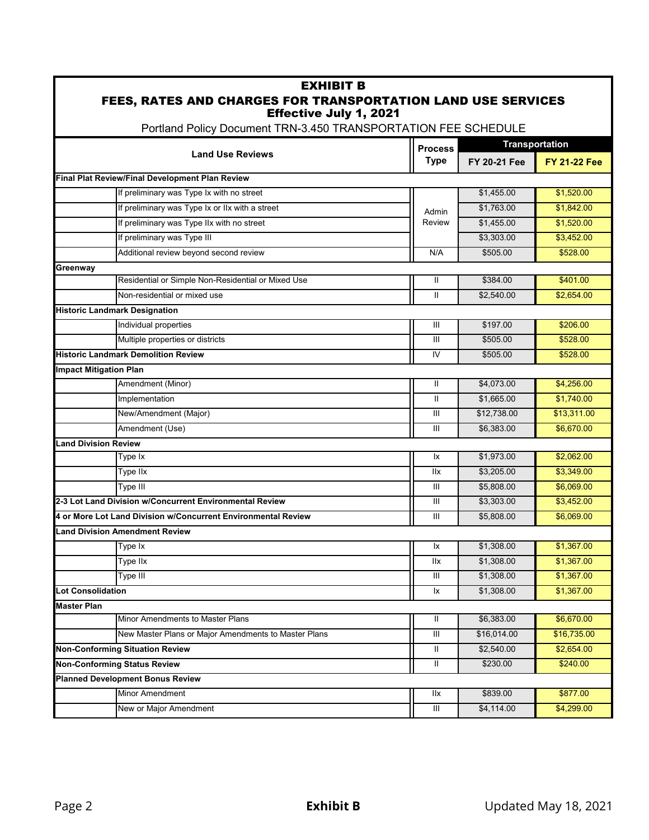| <b>EXHIBIT B</b><br>FEES, RATES AND CHARGES FOR TRANSPORTATION LAND USE SERVICES                |                               |                     |                       |
|-------------------------------------------------------------------------------------------------|-------------------------------|---------------------|-----------------------|
| <b>Effective July 1, 2021</b><br>Portland Policy Document TRN-3.450 TRANSPORTATION FEE SCHEDULE |                               |                     |                       |
|                                                                                                 |                               |                     | <b>Transportation</b> |
| <b>Land Use Reviews</b>                                                                         | <b>Process</b><br><b>Type</b> | <b>FY 20-21 Fee</b> | <b>FY 21-22 Fee</b>   |
| Final Plat Review/Final Development Plan Review                                                 |                               |                     |                       |
| If preliminary was Type Ix with no street                                                       |                               | \$1,455.00          | \$1,520.00            |
| If preliminary was Type Ix or IIx with a street                                                 | Admin                         | \$1,763.00          | \$1,842.00            |
| If preliminary was Type IIx with no street                                                      | <b>Review</b>                 | \$1,455.00          | \$1,520.00            |
| If preliminary was Type III                                                                     |                               | \$3,303.00          | \$3,452.00            |
| Additional review beyond second review                                                          | N/A                           | \$505.00            | \$528.00              |
| Greenway                                                                                        |                               |                     |                       |
| Residential or Simple Non-Residential or Mixed Use                                              | Ш                             | \$384.00            | \$401.00              |
| Non-residential or mixed use                                                                    | Ш                             | \$2,540.00          | \$2,654.00            |
| <b>Historic Landmark Designation</b>                                                            |                               |                     |                       |
| Individual properties                                                                           | III                           | \$197.00            | \$206.00              |
| Multiple properties or districts                                                                | III                           | \$505.00            | \$528.00              |
| <b>Historic Landmark Demolition Review</b>                                                      | IV                            | \$505.00            | \$528.00              |
| <b>Impact Mitigation Plan</b>                                                                   |                               |                     |                       |
| Amendment (Minor)                                                                               | Ш                             | \$4,073.00          | \$4,256.00            |
| Implementation                                                                                  | $\mathbf{I}$                  | \$1,665.00          | \$1,740.00            |
| New/Amendment (Major)                                                                           | Ш                             | \$12,738.00         | \$13,311.00           |
| Amendment (Use)                                                                                 | Ш                             | \$6,383.00          | \$6,670.00            |
| <b>Land Division Review</b>                                                                     |                               |                     |                       |
| Type Ix                                                                                         | 1x                            | \$1,973.00          | \$2,062.00            |
| Type IIx                                                                                        | <b>IIX</b>                    | \$3,205.00          | \$3,349.00            |
| Type III                                                                                        | Ш                             | \$5,808.00          | \$6,069.00            |
| 2-3 Lot Land Division w/Concurrent Environmental Review                                         | Ш                             | \$3,303.00          | \$3,452.00            |
| 4 or More Lot Land Division w/Concurrent Environmental Review                                   | Ш                             | \$5.808.00          | \$6,069.00            |
| Land Division Amendment Review                                                                  |                               |                     |                       |
| Type Ix                                                                                         | lχ                            | \$1,308.00          | \$1,367.00            |
| Type IIx                                                                                        | llx                           | \$1,308.00          | \$1,367.00            |
| Type III                                                                                        | Ш                             | \$1,308.00          | \$1,367.00            |
| <b>Lot Consolidation</b>                                                                        | lx                            | \$1,308.00          | \$1,367.00            |
| <b>Master Plan</b>                                                                              |                               |                     |                       |
| Minor Amendments to Master Plans                                                                | Ш                             | \$6,383.00          | \$6,670.00            |
| New Master Plans or Major Amendments to Master Plans                                            | Ш                             | \$16,014.00         | \$16,735.00           |
| <b>Non-Conforming Situation Review</b>                                                          | Ш                             | \$2,540.00          | \$2,654.00            |
| <b>Non-Conforming Status Review</b>                                                             | Ш                             | \$230.00            | \$240.00              |
| <b>Planned Development Bonus Review</b>                                                         |                               |                     |                       |
| Minor Amendment                                                                                 | llx                           | \$839.00            | \$877.00              |
| New or Major Amendment                                                                          | Ш                             | \$4,114.00          | \$4,299.00            |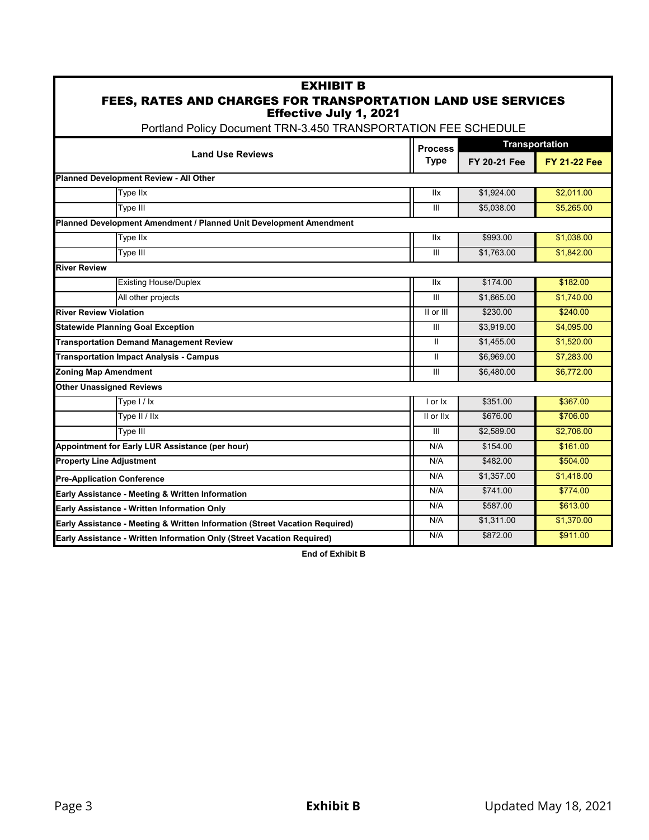| <b>EXHIBIT B</b><br>FEES, RATES AND CHARGES FOR TRANSPORTATION LAND USE SERVICES<br><b>Effective July 1, 2021</b> |                |              |                       |
|-------------------------------------------------------------------------------------------------------------------|----------------|--------------|-----------------------|
| Portland Policy Document TRN-3.450 TRANSPORTATION FEE SCHEDULE                                                    |                |              |                       |
|                                                                                                                   | <b>Process</b> |              | <b>Transportation</b> |
| <b>Land Use Reviews</b>                                                                                           | <b>Type</b>    | FY 20-21 Fee | <b>FY 21-22 Fee</b>   |
| Planned Development Review - All Other                                                                            |                |              |                       |
| Type IIx                                                                                                          | llx            | \$1.924.00   | \$2.011.00            |
| Type III                                                                                                          | Ш              | \$5,038.00   | \$5,265.00            |
| Planned Development Amendment / Planned Unit Development Amendment                                                |                |              |                       |
| Type IIx                                                                                                          | llx            | \$993.00     | \$1,038.00            |
| Type III                                                                                                          | III            | \$1,763.00   | \$1,842.00            |
| <b>River Review</b>                                                                                               |                |              |                       |
| <b>Existing House/Duplex</b>                                                                                      | <b>IIx</b>     | \$174.00     | \$182.00              |
| All other projects                                                                                                | III            | \$1,665.00   | \$1,740.00            |
| <b>River Review Violation</b>                                                                                     | II or III      | \$230.00     | \$240.00              |
| <b>Statewide Planning Goal Exception</b>                                                                          | III            | \$3,919.00   | \$4,095.00            |
| <b>Transportation Demand Management Review</b>                                                                    | $\mathbf{II}$  | \$1,455.00   | \$1,520.00            |
| <b>Transportation Impact Analysis - Campus</b>                                                                    | $\mathbf{II}$  | \$6,969.00   | \$7,283.00            |
| <b>Zoning Map Amendment</b>                                                                                       | Ш              | \$6,480.00   | \$6,772.00            |
| <b>Other Unassigned Reviews</b>                                                                                   |                |              |                       |
| Type $1/1x$                                                                                                       | I or Ix        | \$351.00     | \$367.00              |
| Type II / IIx                                                                                                     | II or IIx      | \$676.00     | \$706.00              |
| Type III                                                                                                          | Ш              | \$2,589.00   | \$2,706.00            |
| Appointment for Early LUR Assistance (per hour)                                                                   | N/A            | \$154.00     | \$161.00              |
| <b>Property Line Adjustment</b>                                                                                   | N/A            | \$482.00     | \$504.00              |
| <b>Pre-Application Conference</b>                                                                                 | N/A            | \$1,357.00   | \$1,418.00            |
| Early Assistance - Meeting & Written Information                                                                  | N/A            | \$741.00     | \$774.00              |
| Early Assistance - Written Information Only                                                                       | N/A            | \$587.00     | \$613.00              |
| Early Assistance - Meeting & Written Information (Street Vacation Required)                                       | N/A            | \$1,311.00   | \$1,370.00            |
| Early Assistance - Written Information Only (Street Vacation Required)                                            | N/A            | \$872.00     | \$911.00              |

**End of Exhibit B**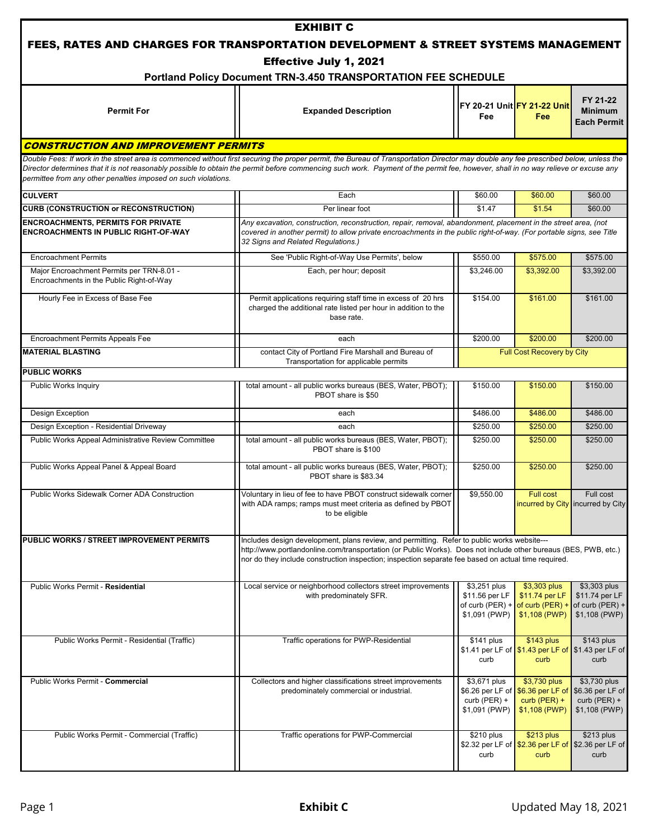|                                                                                       | <b>EXHIBIT C</b>                                                                                                                                                                                                                                                                                                      |                                                                        |                                                                                                      |                                                                     |
|---------------------------------------------------------------------------------------|-----------------------------------------------------------------------------------------------------------------------------------------------------------------------------------------------------------------------------------------------------------------------------------------------------------------------|------------------------------------------------------------------------|------------------------------------------------------------------------------------------------------|---------------------------------------------------------------------|
|                                                                                       | FEES, RATES AND CHARGES FOR TRANSPORTATION DEVELOPMENT & STREET SYSTEMS MANAGEMENT                                                                                                                                                                                                                                    |                                                                        |                                                                                                      |                                                                     |
|                                                                                       | Effective July 1, 2021                                                                                                                                                                                                                                                                                                |                                                                        |                                                                                                      |                                                                     |
|                                                                                       | Portland Policy Document TRN-3.450 TRANSPORTATION FEE SCHEDULE                                                                                                                                                                                                                                                        |                                                                        |                                                                                                      |                                                                     |
| <b>Permit For</b>                                                                     | <b>Expanded Description</b>                                                                                                                                                                                                                                                                                           | Fee                                                                    | FY 20-21 Unit FY 21-22 Unit<br>Fee                                                                   | FY 21-22<br><b>Minimum</b><br><b>Each Permit</b>                    |
| <b>CONSTRUCTION AND IMPROVEMENT PERMITS</b>                                           |                                                                                                                                                                                                                                                                                                                       |                                                                        |                                                                                                      |                                                                     |
|                                                                                       | Double Fees: If work in the street area is commenced without first securing the proper permit, the Bureau of Transportation Director may double any fee prescribed below, unless the                                                                                                                                  |                                                                        |                                                                                                      |                                                                     |
| permittee from any other penalties imposed on such violations.                        | Director determines that it is not reasonably possible to obtain the permit before commencing such work. Payment of the permit fee, however, shall in no way relieve or excuse any                                                                                                                                    |                                                                        |                                                                                                      |                                                                     |
| <b>CULVERT</b>                                                                        | Each                                                                                                                                                                                                                                                                                                                  | \$60.00                                                                | \$60.00                                                                                              | \$60.00                                                             |
| <b>CURB (CONSTRUCTION or RECONSTRUCTION)</b>                                          | Per linear foot                                                                                                                                                                                                                                                                                                       | \$1.47                                                                 | \$1.54                                                                                               | \$60.00                                                             |
| <b>ENCROACHMENTS, PERMITS FOR PRIVATE</b><br>ENCROACHMENTS IN PUBLIC RIGHT-OF-WAY     | Any excavation, construction, reconstruction, repair, removal, abandonment, placement in the street area, (not<br>covered in another permit) to allow private encroachments in the public right-of-way. (For portable signs, see Title<br>32 Signs and Related Regulations.)                                          |                                                                        |                                                                                                      |                                                                     |
| <b>Encroachment Permits</b>                                                           | See 'Public Right-of-Way Use Permits', below                                                                                                                                                                                                                                                                          | \$550.00                                                               | \$575.00                                                                                             | \$575.00                                                            |
| Major Encroachment Permits per TRN-8.01 -<br>Encroachments in the Public Right-of-Way | Each, per hour; deposit                                                                                                                                                                                                                                                                                               | \$3,246.00                                                             | \$3.392.00                                                                                           | \$3,392.00                                                          |
| Hourly Fee in Excess of Base Fee                                                      | Permit applications requiring staff time in excess of 20 hrs<br>charged the additional rate listed per hour in addition to the<br>base rate.                                                                                                                                                                          | \$154.00                                                               | \$161.00                                                                                             | \$161.00                                                            |
| Encroachment Permits Appeals Fee                                                      | each                                                                                                                                                                                                                                                                                                                  | \$200.00                                                               | \$200.00                                                                                             | \$200.00                                                            |
| <b>MATERIAL BLASTING</b>                                                              | contact City of Portland Fire Marshall and Bureau of<br>Transportation for applicable permits                                                                                                                                                                                                                         |                                                                        | Full Cost Recovery by City                                                                           |                                                                     |
| <b>PUBLIC WORKS</b>                                                                   |                                                                                                                                                                                                                                                                                                                       |                                                                        |                                                                                                      |                                                                     |
| Public Works Inquiry                                                                  | total amount - all public works bureaus (BES, Water, PBOT);<br>PBOT share is \$50                                                                                                                                                                                                                                     | \$150.00                                                               | \$150.00                                                                                             | \$150.00                                                            |
| Design Exception                                                                      | each                                                                                                                                                                                                                                                                                                                  | \$486.00                                                               | \$486.00                                                                                             | \$486.00                                                            |
| Design Exception - Residential Driveway                                               | each                                                                                                                                                                                                                                                                                                                  | \$250.00                                                               | \$250.00                                                                                             | \$250.00                                                            |
| Public Works Appeal Administrative Review Committee                                   | total amount - all public works bureaus (BES, Water, PBOT);<br>PBOT share is \$100                                                                                                                                                                                                                                    | \$250.00                                                               | \$250.00                                                                                             | \$250.00                                                            |
| Public Works Appeal Panel & Appeal Board                                              | total amount - all public works bureaus (BES, Water, PBOT);<br>PBOT share is \$83.34                                                                                                                                                                                                                                  | \$250.00                                                               | \$250.00                                                                                             | \$250.00                                                            |
| Public Works Sidewalk Corner ADA Construction                                         | Voluntary in lieu of fee to have PBOT construct sidewalk corner<br>with ADA ramps; ramps must meet criteria as defined by PBOT<br>to be eligible                                                                                                                                                                      | \$9,550.00                                                             | <b>Full cost</b><br>incurred by City incurred by City                                                | Full cost                                                           |
| PUBLIC WORKS / STREET IMPROVEMENT PERMITS                                             | Includes design development, plans review, and permitting. Refer to public works website---<br>http://www.portlandonline.com/transportation (or Public Works). Does not include other bureaus (BES, PWB, etc.)<br>nor do they include construction inspection; inspection separate fee based on actual time required. |                                                                        |                                                                                                      |                                                                     |
| Public Works Permit - Residential                                                     | Local service or neighborhood collectors street improvements<br>with predominately SFR.                                                                                                                                                                                                                               | \$3,251 plus<br>\$11.56 per LF<br>\$1,091 (PWP)                        | \$3,303 plus<br>\$11.74 per LF<br>of curb (PER) + $of$ curb (PER) + of curb (PER) +<br>\$1,108 (PWP) | \$3,303 plus<br>\$11.74 per LF<br>\$1,108 (PWP)                     |
| Public Works Permit - Residential (Traffic)                                           | Traffic operations for PWP-Residential                                                                                                                                                                                                                                                                                | $$141$ plus<br>curb                                                    | $$143$ plus<br>\$1.41 per LF of \$1.43 per LF of \$1.43 per LF of<br>curb                            | $$143$ plus<br>curb                                                 |
| Public Works Permit - Commercial                                                      | Collectors and higher classifications street improvements<br>predominately commercial or industrial.                                                                                                                                                                                                                  | \$3,671 plus<br>$$6.26$ per LF of<br>curb ( $PER$ ) +<br>\$1,091 (PWP) | \$3,730 plus<br>\$6.36 per LF of<br>$curb$ (PER) +<br>\$1,108 (PWP)                                  | \$3,730 plus<br>\$6.36 per LF of<br>$curb$ (PER) +<br>\$1,108 (PWP) |
| Public Works Permit - Commercial (Traffic)                                            | Traffic operations for PWP-Commercial                                                                                                                                                                                                                                                                                 | \$210 plus<br>curb                                                     | \$213 plus<br>\$2.32 per LF of \$2.36 per LF of \$2.36 per LF of<br>curb                             | $$213$ plus<br>curb                                                 |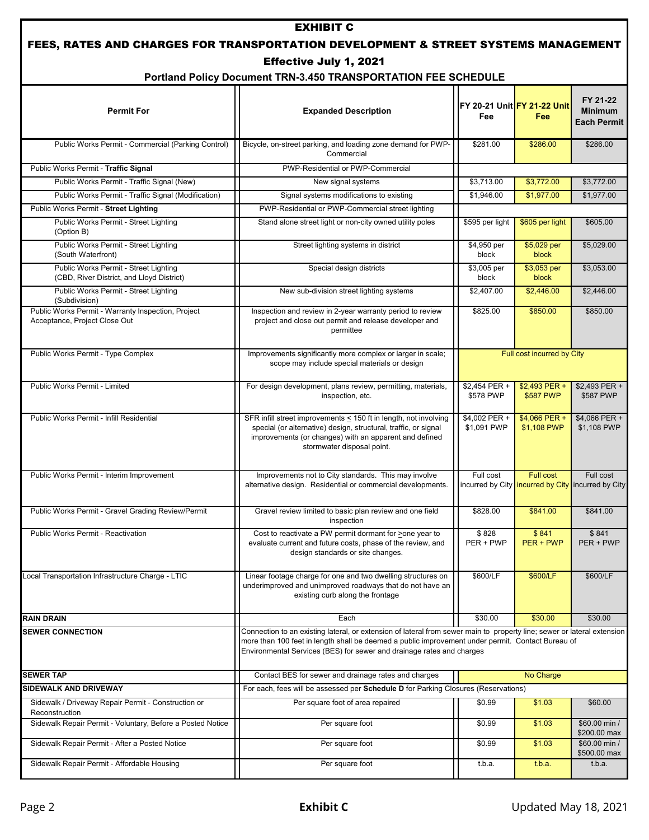| <b>EXHIBIT C</b><br>FEES, RATES AND CHARGES FOR TRANSPORTATION DEVELOPMENT & STREET SYSTEMS MANAGEMENT |                                                                                                                                                                                                                                                                                                       |                                    |                                                                 |                                                  |
|--------------------------------------------------------------------------------------------------------|-------------------------------------------------------------------------------------------------------------------------------------------------------------------------------------------------------------------------------------------------------------------------------------------------------|------------------------------------|-----------------------------------------------------------------|--------------------------------------------------|
|                                                                                                        | <b>Effective July 1, 2021</b><br>Portland Policy Document TRN-3.450 TRANSPORTATION FEE SCHEDULE                                                                                                                                                                                                       |                                    |                                                                 |                                                  |
| <b>Permit For</b>                                                                                      | <b>Expanded Description</b>                                                                                                                                                                                                                                                                           | FY 20-21 Unit FY 21-22 Unit<br>Fee | Fee                                                             | FY 21-22<br><b>Minimum</b><br><b>Each Permit</b> |
| Public Works Permit - Commercial (Parking Control)                                                     | Bicycle, on-street parking, and loading zone demand for PWP-<br>Commercial                                                                                                                                                                                                                            | \$281.00                           | \$286.00                                                        | \$286.00                                         |
| Public Works Permit - Traffic Signal                                                                   | PWP-Residential or PWP-Commercial                                                                                                                                                                                                                                                                     |                                    |                                                                 |                                                  |
| Public Works Permit - Traffic Signal (New)                                                             | New signal systems                                                                                                                                                                                                                                                                                    | \$3,713.00                         | \$3,772.00                                                      | \$3,772.00                                       |
| Public Works Permit - Traffic Signal (Modification)                                                    | Signal systems modifications to existing                                                                                                                                                                                                                                                              | \$1,946.00                         | \$1,977.00                                                      | \$1,977.00                                       |
| Public Works Permit - Street Lighting                                                                  | PWP-Residential or PWP-Commercial street lighting                                                                                                                                                                                                                                                     |                                    |                                                                 |                                                  |
| Public Works Permit - Street Lighting<br>(Option B)                                                    | Stand alone street light or non-city owned utility poles                                                                                                                                                                                                                                              | \$595 per light                    | \$605 per light                                                 | \$605.00                                         |
| Public Works Permit - Street Lighting<br>(South Waterfront)                                            | Street lighting systems in district                                                                                                                                                                                                                                                                   | \$4,950 per<br>block               | \$5,029 per<br>block                                            | \$5,029.00                                       |
| Public Works Permit - Street Lighting<br>(CBD, River District, and Lloyd District)                     | Special design districts                                                                                                                                                                                                                                                                              | \$3,005 per<br>block               | \$3,053 per<br>block                                            | \$3,053.00                                       |
| Public Works Permit - Street Lighting<br>(Subdivision)                                                 | New sub-division street lighting systems                                                                                                                                                                                                                                                              | \$2,407.00                         | \$2,446.00                                                      | \$2,446.00                                       |
| Public Works Permit - Warranty Inspection, Project<br>Acceptance, Project Close Out                    | Inspection and review in 2-year warranty period to review<br>project and close out permit and release developer and<br>permittee                                                                                                                                                                      | \$825.00                           | \$850.00                                                        | \$850.00                                         |
| Public Works Permit - Type Complex                                                                     | Improvements significantly more complex or larger in scale;<br>scope may include special materials or design                                                                                                                                                                                          | Full cost incurred by City         |                                                                 |                                                  |
| Public Works Permit - Limited                                                                          | For design development, plans review, permitting, materials,<br>inspection, etc.                                                                                                                                                                                                                      | \$2,454 PER +<br>\$578 PWP         | \$2,493 PER +<br>\$587 PWP                                      | \$2,493 PER +<br>\$587 PWP                       |
| Public Works Permit - Infill Residential                                                               | SFR infill street improvements < 150 ft in length, not involving<br>special (or alternative) design, structural, traffic, or signal<br>improvements (or changes) with an apparent and defined<br>stormwater disposal point.                                                                           | \$4,002 PER +<br>\$1,091 PWP       | \$4,066 PER +<br>\$1,108 PWP                                    | \$4,066 PER +<br>\$1,108 PWP                     |
| Public Works Permit - Interim Improvement                                                              | Improvements not to City standards. This may involve<br>alternative design. Residential or commercial developments.                                                                                                                                                                                   | Full cost                          | Full cost<br>incurred by City incurred by City incurred by City | Full cost                                        |
| Public Works Permit - Gravel Grading Review/Permit                                                     | Gravel review limited to basic plan review and one field<br>inspection                                                                                                                                                                                                                                | \$828.00                           | \$841.00                                                        | \$841.00                                         |
| Public Works Permit - Reactivation                                                                     | Cost to reactivate a PW permit dormant for >one year to<br>evaluate current and future costs, phase of the review, and<br>design standards or site changes.                                                                                                                                           | \$828<br>PER + PWP                 | \$841<br>PER + PWP                                              | \$841<br>PER + PWP                               |
| Local Transportation Infrastructure Charge - LTIC                                                      | Linear footage charge for one and two dwelling structures on<br>underimproved and unimproved roadways that do not have an<br>existing curb along the frontage                                                                                                                                         | \$600/LF                           | \$600/LF                                                        | \$600/LF                                         |
| <b>RAIN DRAIN</b>                                                                                      | Each                                                                                                                                                                                                                                                                                                  | \$30.00                            | \$30.00                                                         | \$30.00                                          |
| <b>SEWER CONNECTION</b>                                                                                | Connection to an existing lateral, or extension of lateral from sewer main to property line; sewer or lateral extension<br>more than 100 feet in length shall be deemed a public improvement under permit. Contact Bureau of<br>Environmental Services (BES) for sewer and drainage rates and charges |                                    |                                                                 |                                                  |
| <b>SEWER TAP</b>                                                                                       | Contact BES for sewer and drainage rates and charges                                                                                                                                                                                                                                                  |                                    | No Charge                                                       |                                                  |
| SIDEWALK AND DRIVEWAY                                                                                  | For each, fees will be assessed per Schedule D for Parking Closures (Reservations)                                                                                                                                                                                                                    |                                    |                                                                 |                                                  |
| Sidewalk / Driveway Repair Permit - Construction or<br>Reconstruction                                  | Per square foot of area repaired                                                                                                                                                                                                                                                                      | \$0.99                             | \$1.03                                                          | \$60.00                                          |
| Sidewalk Repair Permit - Voluntary, Before a Posted Notice                                             | Per square foot                                                                                                                                                                                                                                                                                       | \$0.99                             | \$1.03                                                          | \$60.00 min /<br>\$200.00 max                    |
| Sidewalk Repair Permit - After a Posted Notice                                                         | Per square foot                                                                                                                                                                                                                                                                                       | \$0.99                             | \$1.03                                                          | \$60.00 min /<br>\$500.00 max                    |
| Sidewalk Repair Permit - Affordable Housing                                                            | Per square foot                                                                                                                                                                                                                                                                                       | t.b.a.                             | t.b.a.                                                          | t.b.a.                                           |

ï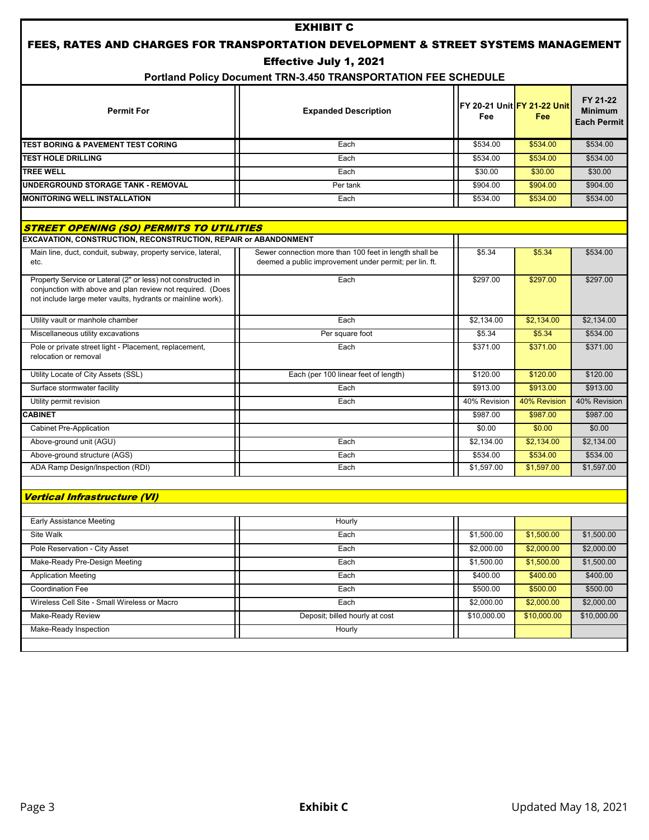| <b>EXHIBIT C</b><br>FEES, RATES AND CHARGES FOR TRANSPORTATION DEVELOPMENT & STREET SYSTEMS MANAGEMENT                                                                                   |                                                                                                                  |                           |                                           |                                                  |
|------------------------------------------------------------------------------------------------------------------------------------------------------------------------------------------|------------------------------------------------------------------------------------------------------------------|---------------------------|-------------------------------------------|--------------------------------------------------|
|                                                                                                                                                                                          | Effective July 1, 2021                                                                                           |                           |                                           |                                                  |
|                                                                                                                                                                                          | Portland Policy Document TRN-3.450 TRANSPORTATION FEE SCHEDULE                                                   |                           |                                           |                                                  |
| <b>Permit For</b>                                                                                                                                                                        | <b>Expanded Description</b>                                                                                      | Fee                       | FY 20-21 Unit FY 21-22 Unit<br><b>Fee</b> | FY 21-22<br><b>Minimum</b><br><b>Each Permit</b> |
| <b>TEST BORING &amp; PAVEMENT TEST CORING</b>                                                                                                                                            | Each                                                                                                             | \$534.00                  | \$534.00                                  | \$534.00                                         |
| <b>TEST HOLE DRILLING</b>                                                                                                                                                                | Each                                                                                                             | \$534.00                  | \$534.00                                  | \$534.00                                         |
| <b>TREE WELL</b>                                                                                                                                                                         | Each                                                                                                             | \$30.00                   | \$30.00                                   | \$30.00                                          |
| UNDERGROUND STORAGE TANK - REMOVAL                                                                                                                                                       | Per tank                                                                                                         | \$904.00                  | \$904.00                                  | \$904.00                                         |
| <b>MONITORING WELL INSTALLATION</b>                                                                                                                                                      | Each                                                                                                             | \$534.00                  | \$534.00                                  | \$534.00                                         |
| STREET OPENING (SO) PERMITS TO UTILITIES                                                                                                                                                 |                                                                                                                  |                           |                                           |                                                  |
| EXCAVATION, CONSTRUCTION, RECONSTRUCTION, REPAIR or ABANDONMENT                                                                                                                          |                                                                                                                  |                           |                                           |                                                  |
| Main line, duct, conduit, subway, property service, lateral,<br>etc.                                                                                                                     | Sewer connection more than 100 feet in length shall be<br>deemed a public improvement under permit; per lin. ft. | \$5.34                    | \$5.34                                    | \$534.00                                         |
| Property Service or Lateral (2" or less) not constructed in<br>conjunction with above and plan review not required. (Does<br>not include large meter vaults, hydrants or mainline work). | Each                                                                                                             | \$297.00                  | \$297.00                                  | \$297.00                                         |
| Utility vault or manhole chamber                                                                                                                                                         | Each                                                                                                             | \$2,134.00                | \$2,134.00                                | \$2,134.00                                       |
| Miscellaneous utility excavations                                                                                                                                                        | Per square foot                                                                                                  | \$5.34                    | \$5.34                                    | \$534.00                                         |
| Pole or private street light - Placement, replacement,<br>relocation or removal                                                                                                          | Each                                                                                                             | \$371.00                  | \$371.00                                  | \$371.00                                         |
| Utility Locate of City Assets (SSL)                                                                                                                                                      | Each (per 100 linear feet of length)                                                                             | \$120.00                  | \$120.00                                  | \$120.00                                         |
| Surface stormwater facility                                                                                                                                                              | Each                                                                                                             | \$913.00                  | \$913.00                                  | \$913.00                                         |
| Utility permit revision                                                                                                                                                                  | Each                                                                                                             | 40% Revision              | 40% Revision                              | 40% Revision                                     |
| <b>CABINET</b>                                                                                                                                                                           |                                                                                                                  | \$987.00                  | \$987.00                                  | \$987.00                                         |
| <b>Cabinet Pre-Application</b>                                                                                                                                                           |                                                                                                                  | \$0.00                    | \$0.00                                    | \$0.00                                           |
| Above-ground unit (AGU)                                                                                                                                                                  | Each                                                                                                             | \$2,134.00                | \$2,134.00                                | \$2,134.00                                       |
| Above-ground structure (AGS)                                                                                                                                                             | Each                                                                                                             | \$534.00                  | \$534.00                                  | \$534.00                                         |
| ADA Ramp Design/Inspection (RDI)                                                                                                                                                         | Each                                                                                                             | \$1,597.00                | \$1,597.00                                | \$1,597.00                                       |
| <b>Vertical Infrastructure (VI)</b>                                                                                                                                                      |                                                                                                                  |                           |                                           |                                                  |
|                                                                                                                                                                                          |                                                                                                                  |                           |                                           |                                                  |
| <b>Early Assistance Meeting</b>                                                                                                                                                          | Hourly                                                                                                           |                           |                                           |                                                  |
| Site Walk                                                                                                                                                                                | Each                                                                                                             | \$1,500.00                | \$1,500.00                                | \$1,500.00                                       |
| Pole Reservation - City Asset                                                                                                                                                            | Each                                                                                                             | \$2,000.00                | \$2,000.00                                | \$2,000.00                                       |
| Make-Ready Pre-Design Meeting                                                                                                                                                            | Each                                                                                                             | \$1,500.00                | \$1,500.00                                | \$1,500.00                                       |
| <b>Application Meeting</b>                                                                                                                                                               | Each                                                                                                             | \$400.00                  | \$400.00                                  | \$400.00                                         |
| Coordination Fee<br>Wireless Cell Site - Small Wireless or Macro                                                                                                                         | Each                                                                                                             | \$500.00                  | \$500.00                                  | \$500.00<br>\$2,000.00                           |
| Make-Ready Review                                                                                                                                                                        | Each<br>Deposit; billed hourly at cost                                                                           | \$2,000.00<br>\$10,000.00 | \$2,000.00<br>\$10,000.00                 | \$10,000.00                                      |
| Make-Ready Inspection                                                                                                                                                                    |                                                                                                                  |                           |                                           |                                                  |
|                                                                                                                                                                                          | Hourly                                                                                                           |                           |                                           |                                                  |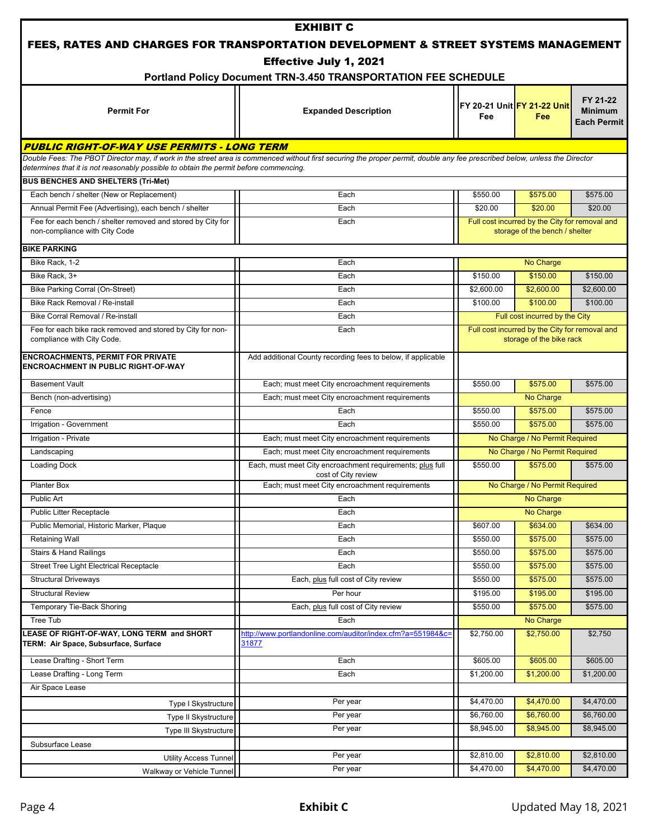|                                                                                              | <b>EXHIBIT C</b>                                                                                                                                                           |            |                                                                                  |                                                  |  |
|----------------------------------------------------------------------------------------------|----------------------------------------------------------------------------------------------------------------------------------------------------------------------------|------------|----------------------------------------------------------------------------------|--------------------------------------------------|--|
|                                                                                              | FEES, RATES AND CHARGES FOR TRANSPORTATION DEVELOPMENT & STREET SYSTEMS MANAGEMENT                                                                                         |            |                                                                                  |                                                  |  |
|                                                                                              | <b>Effective July 1, 2021</b>                                                                                                                                              |            |                                                                                  |                                                  |  |
|                                                                                              | Portland Policy Document TRN-3.450 TRANSPORTATION FEE SCHEDULE                                                                                                             |            |                                                                                  |                                                  |  |
| <b>Permit For</b>                                                                            | <b>Expanded Description</b>                                                                                                                                                | Fee        | FY 20-21 Unit FY 21-22 Unit<br><b>Fee</b>                                        | FY 21-22<br><b>Minimum</b><br><b>Each Permit</b> |  |
| PUBLIC RIGHT-OF-WAY USE PERMITS - LONG TERM                                                  |                                                                                                                                                                            |            |                                                                                  |                                                  |  |
|                                                                                              | Double Fees: The PBOT Director may, if work in the street area is commenced without first securing the proper permit, double any fee prescribed below, unless the Director |            |                                                                                  |                                                  |  |
| determines that it is not reasonably possible to obtain the permit before commencing.        |                                                                                                                                                                            |            |                                                                                  |                                                  |  |
| <b>BUS BENCHES AND SHELTERS (Tri-Met)</b>                                                    |                                                                                                                                                                            |            |                                                                                  |                                                  |  |
| Each bench / shelter (New or Replacement)                                                    | Each                                                                                                                                                                       | \$550.00   | \$575.00                                                                         | \$575.00                                         |  |
| Annual Permit Fee (Advertising), each bench / shelter                                        | Each                                                                                                                                                                       | \$20.00    | \$20.00                                                                          | \$20.00                                          |  |
| Fee for each bench / shelter removed and stored by City for<br>non-compliance with City Code | Each                                                                                                                                                                       |            | Full cost incurred by the City for removal and<br>storage of the bench / shelter |                                                  |  |
| <b>BIKE PARKING</b>                                                                          |                                                                                                                                                                            |            |                                                                                  |                                                  |  |
| Bike Rack, 1-2                                                                               | Each                                                                                                                                                                       |            | No Charge                                                                        |                                                  |  |
| Bike Rack, 3+                                                                                | Each                                                                                                                                                                       | \$150.00   | \$150.00                                                                         | \$150.00                                         |  |
| Bike Parking Corral (On-Street)                                                              | Each                                                                                                                                                                       | \$2,600.00 | \$2,600.00                                                                       | \$2,600.00                                       |  |
| Bike Rack Removal / Re-install                                                               | Each                                                                                                                                                                       | \$100.00   | \$100.00                                                                         | \$100.00                                         |  |
| Bike Corral Removal / Re-install                                                             | Each                                                                                                                                                                       |            | Full cost incurred by the City                                                   |                                                  |  |
| Fee for each bike rack removed and stored by City for non-<br>compliance with City Code.     | Each                                                                                                                                                                       |            | Full cost incurred by the City for removal and<br>storage of the bike rack       |                                                  |  |
| <b>ENCROACHMENTS, PERMIT FOR PRIVATE</b><br><b>ENCROACHMENT IN PUBLIC RIGHT-OF-WAY</b>       | Add additional County recording fees to below, if applicable                                                                                                               |            |                                                                                  |                                                  |  |
| <b>Basement Vault</b>                                                                        | Each; must meet City encroachment requirements                                                                                                                             | \$550.00   | \$575.00                                                                         | \$575.00                                         |  |
| Bench (non-advertising)                                                                      | Each; must meet City encroachment requirements                                                                                                                             |            | No Charge                                                                        |                                                  |  |
| Fence                                                                                        | Each                                                                                                                                                                       | \$550.00   | \$575.00                                                                         | \$575.00                                         |  |
| Irrigation - Government                                                                      | Each                                                                                                                                                                       | \$550.00   | \$575.00                                                                         | \$575.00                                         |  |
| Irrigation - Private                                                                         | Each; must meet City encroachment requirements                                                                                                                             |            | No Charge / No Permit Required                                                   |                                                  |  |
| Landscaping                                                                                  | Each; must meet City encroachment requirements                                                                                                                             |            | No Charge / No Permit Required                                                   |                                                  |  |
| <b>Loading Dock</b>                                                                          | Each, must meet City encroachment requirements; plus full<br>cost of City review                                                                                           | \$550.00   | \$575.00                                                                         | \$575.00                                         |  |
| <b>Planter Box</b>                                                                           | Each; must meet City encroachment requirements                                                                                                                             |            | No Charge / No Permit Required                                                   |                                                  |  |
| Public Art                                                                                   | Each                                                                                                                                                                       |            | No Charge                                                                        |                                                  |  |
| Public Litter Receptacle                                                                     | Each                                                                                                                                                                       |            | No Charge                                                                        |                                                  |  |
| Public Memorial, Historic Marker, Plaque                                                     | Each                                                                                                                                                                       | \$607.00   | \$634.00                                                                         | \$634.00                                         |  |
| <b>Retaining Wall</b>                                                                        | Each                                                                                                                                                                       | \$550.00   | \$575.00                                                                         | \$575.00                                         |  |
| <b>Stairs &amp; Hand Railings</b>                                                            | Each                                                                                                                                                                       | \$550.00   | \$575.00                                                                         | \$575.00                                         |  |
| <b>Street Tree Light Electrical Receptacle</b>                                               | Each                                                                                                                                                                       | \$550.00   | \$575.00                                                                         | \$575.00                                         |  |
| <b>Structural Driveways</b>                                                                  | Each, plus full cost of City review                                                                                                                                        | \$550.00   | \$575.00                                                                         | \$575.00                                         |  |
| <b>Structural Review</b>                                                                     | Per hour                                                                                                                                                                   | \$195.00   | \$195.00                                                                         | \$195.00                                         |  |
| Temporary Tie-Back Shoring                                                                   | Each, plus full cost of City review                                                                                                                                        | \$550.00   | \$575.00                                                                         | \$575.00                                         |  |
| Tree Tub                                                                                     | Each                                                                                                                                                                       |            | No Charge                                                                        |                                                  |  |
| LEASE OF RIGHT-OF-WAY, LONG TERM and SHORT<br>TERM: Air Space, Subsurface, Surface           | http://www.portlandonline.com/auditor/index.cfm?a=551984&c=<br>31877                                                                                                       | \$2,750.00 | \$2,750.00                                                                       | \$2,750                                          |  |
| Lease Drafting - Short Term                                                                  | Each                                                                                                                                                                       | \$605.00   | \$605.00                                                                         | \$605.00                                         |  |
| Lease Drafting - Long Term                                                                   | Each                                                                                                                                                                       | \$1,200.00 | \$1,200.00                                                                       | \$1,200.00                                       |  |
| Air Space Lease                                                                              |                                                                                                                                                                            |            |                                                                                  |                                                  |  |
| Type I Skystructure                                                                          | Per year                                                                                                                                                                   | \$4,470.00 | \$4,470.00                                                                       | \$4,470.00                                       |  |
| Type II Skystructure                                                                         | Per year                                                                                                                                                                   | \$6,760.00 | \$6,760.00                                                                       | \$6,760.00                                       |  |
| Type III Skystructure                                                                        | Per year                                                                                                                                                                   | \$8,945.00 | \$8,945.00                                                                       | \$8,945.00                                       |  |
| Subsurface Lease                                                                             |                                                                                                                                                                            |            |                                                                                  |                                                  |  |
| <b>Utility Access Tunnel</b>                                                                 | Per year                                                                                                                                                                   | \$2,810.00 | \$2,810.00                                                                       | \$2,810.00                                       |  |
| Walkway or Vehicle Tunnel                                                                    | Per year                                                                                                                                                                   | \$4,470.00 | \$4,470.00                                                                       | \$4,470.00                                       |  |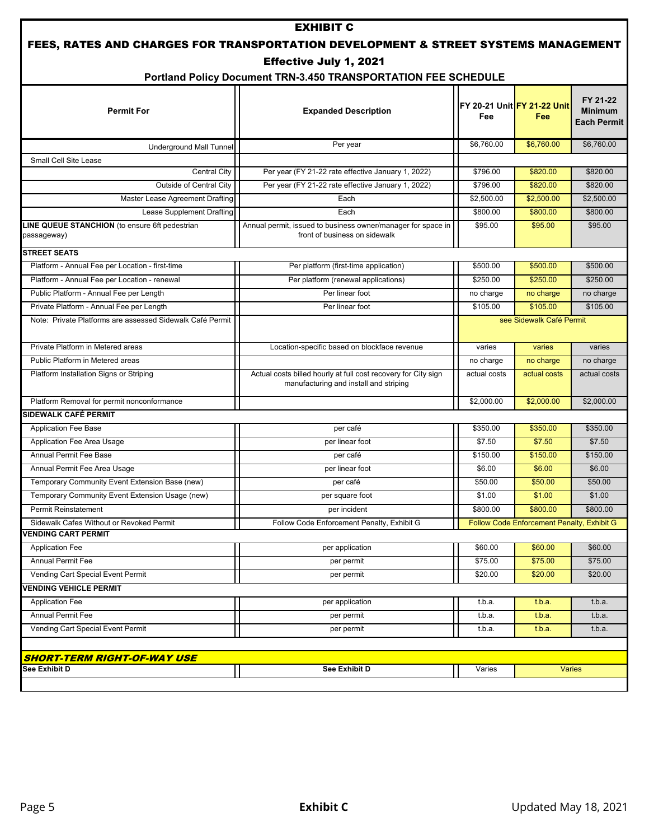|                                                               | <b>EXHIBIT C</b>                                                                                         |                          |                                            |                                                  |
|---------------------------------------------------------------|----------------------------------------------------------------------------------------------------------|--------------------------|--------------------------------------------|--------------------------------------------------|
|                                                               | FEES, RATES AND CHARGES FOR TRANSPORTATION DEVELOPMENT & STREET SYSTEMS MANAGEMENT                       |                          |                                            |                                                  |
|                                                               | Effective July 1, 2021                                                                                   |                          |                                            |                                                  |
|                                                               | Portland Policy Document TRN-3.450 TRANSPORTATION FEE SCHEDULE                                           |                          |                                            |                                                  |
| <b>Permit For</b>                                             | <b>Expanded Description</b>                                                                              | Fee                      | IFY 20-21 UnitIFY 21-22 Unit<br>Fee        | FY 21-22<br><b>Minimum</b><br><b>Each Permit</b> |
| <b>Underground Mall Tunnel</b>                                | Per year                                                                                                 | \$6,760.00               | \$6,760.00                                 | \$6,760.00                                       |
| Small Cell Site Lease                                         |                                                                                                          |                          |                                            |                                                  |
| Central City                                                  | Per year (FY 21-22 rate effective January 1, 2022)                                                       | \$796.00                 | \$820.00                                   | \$820.00                                         |
| <b>Outside of Central City</b>                                | Per year (FY 21-22 rate effective January 1, 2022)                                                       | \$796.00                 | \$820.00                                   | \$820.00                                         |
| Master Lease Agreement Drafting                               | Each                                                                                                     | \$2,500.00               | \$2,500.00                                 | \$2,500.00                                       |
| Lease Supplement Drafting                                     | Each                                                                                                     | \$800.00                 | \$800.00                                   | \$800.00                                         |
| LINE QUEUE STANCHION (to ensure 6ft pedestrian<br>passageway) | Annual permit, issued to business owner/manager for space in<br>front of business on sidewalk            | \$95.00                  | \$95.00                                    | \$95.00                                          |
| <b>STREET SEATS</b>                                           |                                                                                                          |                          |                                            |                                                  |
| Platform - Annual Fee per Location - first-time               | Per platform (first-time application)                                                                    | \$500.00                 | \$500.00                                   | \$500.00                                         |
| Platform - Annual Fee per Location - renewal                  | Per platform (renewal applications)                                                                      | \$250.00                 | \$250.00                                   | \$250.00                                         |
| Public Platform - Annual Fee per Length                       | Per linear foot                                                                                          | no charge                | no charge                                  | no charge                                        |
| Private Platform - Annual Fee per Length                      | Per linear foot                                                                                          | \$105.00                 | \$105.00                                   | \$105.00                                         |
| Note: Private Platforms are assessed Sidewalk Café Permit     |                                                                                                          | see Sidewalk Café Permit |                                            |                                                  |
| Private Platform in Metered areas                             | Location-specific based on blockface revenue                                                             | varies                   | varies                                     | varies                                           |
| Public Platform in Metered areas                              |                                                                                                          | no charge                | no charge                                  | no charge                                        |
| Platform Installation Signs or Striping                       | Actual costs billed hourly at full cost recovery for City sign<br>manufacturing and install and striping | actual costs             | actual costs                               | actual costs                                     |
| Platform Removal for permit nonconformance                    |                                                                                                          | \$2,000.00               | \$2,000.00                                 | \$2,000.00                                       |
| SIDEWALK CAFÉ PERMIT                                          |                                                                                                          |                          |                                            |                                                  |
| <b>Application Fee Base</b>                                   | per café                                                                                                 | \$350.00                 | \$350.00                                   | \$350.00                                         |
| Application Fee Area Usage                                    | per linear foot                                                                                          | \$7.50                   | \$7.50                                     | \$7.50                                           |
| <b>Annual Permit Fee Base</b>                                 | per café                                                                                                 | \$150.00                 | \$150.00                                   | \$150.00                                         |
| Annual Permit Fee Area Usage                                  | per linear foot                                                                                          | \$6.00                   | \$6.00                                     | \$6.00                                           |
| Temporary Community Event Extension Base (new)                | per café                                                                                                 | \$50.00                  | \$50.00                                    | \$50.00                                          |
| Temporary Community Event Extension Usage (new)               | per square foot                                                                                          | \$1.00                   | \$1.00                                     | \$1.00                                           |
| Permit Reinstatement                                          | per incident                                                                                             | \$800.00                 | \$800.00                                   | \$800.00                                         |
| Sidewalk Cafes Without or Revoked Permit                      | Follow Code Enforcement Penalty, Exhibit G                                                               |                          | Follow Code Enforcement Penalty, Exhibit G |                                                  |
| <b>VENDING CART PERMIT</b>                                    |                                                                                                          |                          |                                            |                                                  |
| <b>Application Fee</b>                                        | per application                                                                                          | \$60.00                  | \$60.00                                    | \$60.00                                          |
| <b>Annual Permit Fee</b>                                      | per permit                                                                                               | \$75.00                  | \$75.00                                    | \$75.00                                          |
| Vending Cart Special Event Permit                             | per permit                                                                                               | \$20.00                  | \$20.00                                    | \$20.00                                          |
| <b>VENDING VEHICLE PERMIT</b>                                 |                                                                                                          |                          |                                            |                                                  |
| <b>Application Fee</b>                                        | per application                                                                                          | t.b.a.                   | t.b.a.                                     | t.b.a.                                           |
| <b>Annual Permit Fee</b>                                      | per permit                                                                                               | t.b.a.                   | t.b.a.                                     | t.b.a.                                           |
| Vending Cart Special Event Permit                             | per permit                                                                                               | t.b.a.                   | t.b.a.                                     | t.b.a.                                           |
|                                                               |                                                                                                          |                          |                                            |                                                  |
| <b>SHORT-TERM RIGHT-OF-WAY USE</b>                            |                                                                                                          |                          |                                            |                                                  |
| See Exhibit D                                                 | See Exhibit D                                                                                            | Varies                   |                                            | <b>Varies</b>                                    |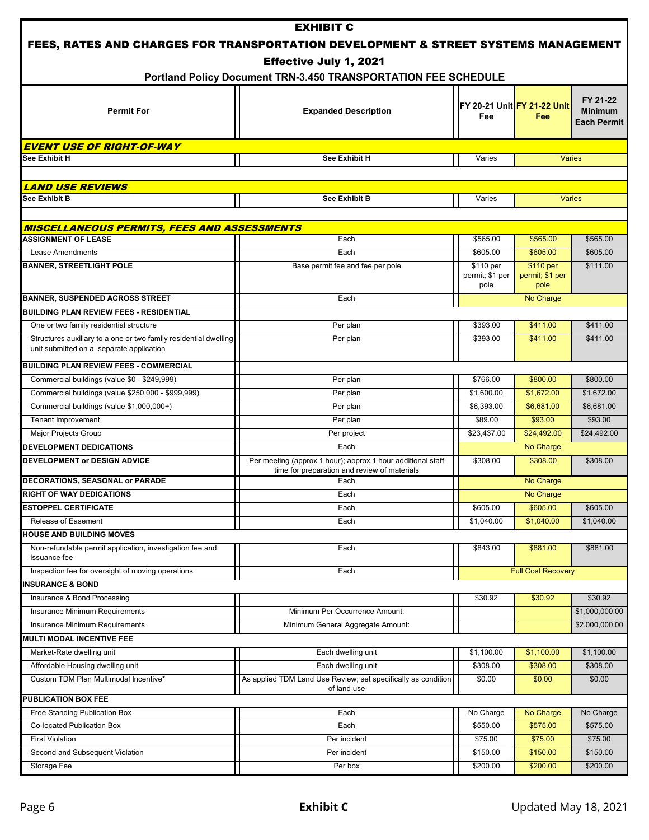|                                                                  | <b>EXHIBIT C</b>                                                                   |                         |                             |                    |
|------------------------------------------------------------------|------------------------------------------------------------------------------------|-------------------------|-----------------------------|--------------------|
|                                                                  | FEES, RATES AND CHARGES FOR TRANSPORTATION DEVELOPMENT & STREET SYSTEMS MANAGEMENT |                         |                             |                    |
|                                                                  | <b>Effective July 1, 2021</b>                                                      |                         |                             |                    |
|                                                                  | Portland Policy Document TRN-3.450 TRANSPORTATION FEE SCHEDULE                     |                         |                             |                    |
|                                                                  |                                                                                    |                         |                             |                    |
|                                                                  |                                                                                    |                         | FY 20-21 Unit FY 21-22 Unit | FY 21-22           |
| <b>Permit For</b>                                                | <b>Expanded Description</b>                                                        | Fee                     | Fee                         | <b>Minimum</b>     |
|                                                                  |                                                                                    |                         |                             | <b>Each Permit</b> |
| <b>EVENT USE OF RIGHT-OF-WAY</b>                                 |                                                                                    |                         |                             |                    |
| <b>See Exhibit H</b>                                             | See Exhibit H                                                                      | Varies                  |                             | <b>Varies</b>      |
|                                                                  |                                                                                    |                         |                             |                    |
| <b>LAND USE REVIEWS</b>                                          |                                                                                    |                         |                             |                    |
| See Exhibit B                                                    | <b>See Exhibit B</b>                                                               | Varies                  |                             | <b>Varies</b>      |
|                                                                  |                                                                                    |                         |                             |                    |
| <b>MISCELLANEOUS PERMITS, FEES AND ASSESSMENTS</b>               |                                                                                    |                         |                             |                    |
| <b>ASSIGNMENT OF LEASE</b>                                       | Each                                                                               | \$565.00                | \$565.00                    | \$565.00           |
| Lease Amendments                                                 | Each                                                                               | \$605.00                | \$605.00                    | \$605.00           |
| <b>BANNER, STREETLIGHT POLE</b>                                  | Base permit fee and fee per pole                                                   | \$110 per               | \$110 per                   | \$111.00           |
|                                                                  |                                                                                    | permit; \$1 per<br>pole | permit; \$1 per<br>pole     |                    |
| <b>BANNER, SUSPENDED ACROSS STREET</b>                           | Each                                                                               |                         | No Charge                   |                    |
| <b>BUILDING PLAN REVIEW FEES - RESIDENTIAL</b>                   |                                                                                    |                         |                             |                    |
| One or two family residential structure                          | Per plan                                                                           | \$393.00                | \$411.00                    | \$411.00           |
| Structures auxiliary to a one or two family residential dwelling | Per plan                                                                           | \$393.00                | \$411.00                    | \$411.00           |
| unit submitted on a separate application                         |                                                                                    |                         |                             |                    |
| <b>BUILDING PLAN REVIEW FEES - COMMERCIAL</b>                    |                                                                                    |                         |                             |                    |
| Commercial buildings (value \$0 - \$249,999)                     | Per plan                                                                           | \$766.00                | \$800.00                    | \$800.00           |
| Commercial buildings (value \$250,000 - \$999,999)               | Per plan                                                                           | \$1,600.00              | \$1,672.00                  | \$1,672.00         |
| Commercial buildings (value \$1,000,000+)                        | Per plan                                                                           | \$6,393.00              | \$6,681.00                  | \$6,681.00         |
| Tenant Improvement                                               | Per plan                                                                           | \$89.00                 | \$93.00                     | \$93.00            |
| <b>Major Projects Group</b>                                      | Per project                                                                        | \$23,437.00             | \$24,492.00                 | \$24,492.00        |
| <b>DEVELOPMENT DEDICATIONS</b>                                   | Each                                                                               |                         | No Charge                   |                    |
| DEVELOPMENT or DESIGN ADVICE                                     | Per meeting (approx 1 hour); approx 1 hour additional staff                        | \$308.00                | \$308.00                    | \$308.00           |
|                                                                  | time for preparation and review of materials                                       |                         |                             |                    |
| DECORATIONS, SEASONAL or PARADE                                  | Each                                                                               |                         | No Charge                   |                    |
| <b>RIGHT OF WAY DEDICATIONS</b>                                  | Each                                                                               |                         | No Charge                   |                    |
| <b>ESTOPPEL CERTIFICATE</b>                                      | Each                                                                               | \$605.00                | \$605.00                    | \$605.00           |
| Release of Easement<br><b>HOUSE AND BUILDING MOVES</b>           | Each                                                                               | \$1,040.00              | \$1,040.00                  | \$1,040.00         |
| Non-refundable permit application, investigation fee and         |                                                                                    |                         |                             | \$881.00           |
| issuance fee                                                     | Each                                                                               | \$843.00                | \$881.00                    |                    |
| Inspection fee for oversight of moving operations                | Each                                                                               |                         | <b>Full Cost Recovery</b>   |                    |
| <b>INSURANCE &amp; BOND</b>                                      |                                                                                    |                         |                             |                    |
| Insurance & Bond Processing                                      |                                                                                    | \$30.92                 | \$30.92                     | \$30.92            |
| <b>Insurance Minimum Requirements</b>                            | Minimum Per Occurrence Amount:                                                     |                         |                             | \$1,000,000.00     |
| Insurance Minimum Requirements                                   | Minimum General Aggregate Amount:                                                  |                         |                             | \$2,000,000.00     |
| <b>MULTI MODAL INCENTIVE FEE</b>                                 |                                                                                    |                         |                             |                    |
| Market-Rate dwelling unit                                        | Each dwelling unit                                                                 | \$1,100.00              | \$1,100.00                  | \$1,100.00         |
| Affordable Housing dwelling unit                                 | Each dwelling unit                                                                 | \$308.00                | \$308.00                    | \$308.00           |
| Custom TDM Plan Multimodal Incentive*                            | As applied TDM Land Use Review; set specifically as condition                      | \$0.00                  | \$0.00                      | \$0.00             |
| <b>PUBLICATION BOX FEE</b>                                       | of land use                                                                        |                         |                             |                    |
| Free Standing Publication Box                                    | Each                                                                               | No Charge               | No Charge                   | No Charge          |
| Co-located Publication Box                                       | Each                                                                               | \$550.00                | \$575.00                    | \$575.00           |
| <b>First Violation</b>                                           | Per incident                                                                       | \$75.00                 | \$75.00                     | \$75.00            |
| Second and Subsequent Violation                                  | Per incident                                                                       | \$150.00                | \$150.00                    | \$150.00           |
| Storage Fee                                                      | Per box                                                                            | \$200.00                | \$200.00                    | \$200.00           |
|                                                                  |                                                                                    |                         |                             |                    |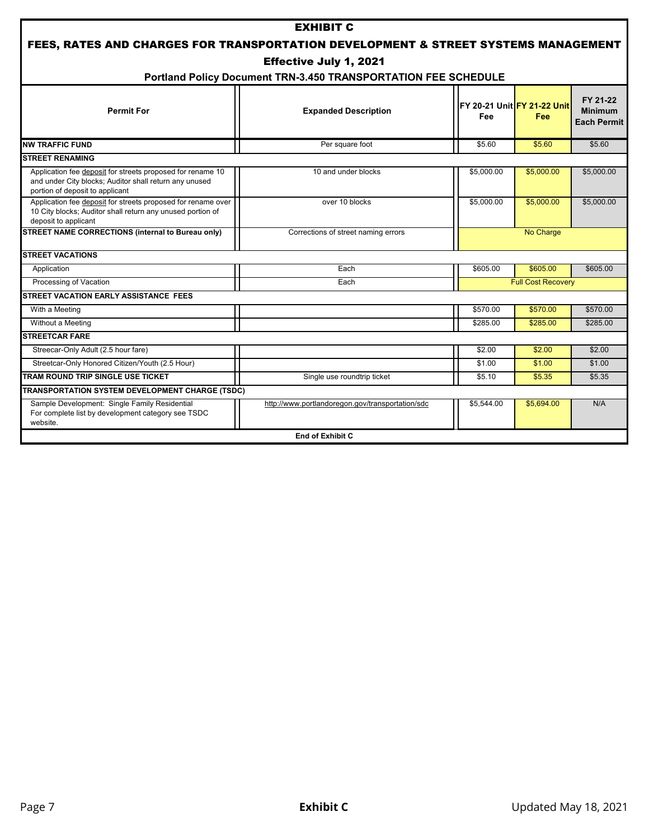|                                                                                                                                                         | <b>EXHIBIT C</b>                                               |            |                                                   |                                                  |
|---------------------------------------------------------------------------------------------------------------------------------------------------------|----------------------------------------------------------------|------------|---------------------------------------------------|--------------------------------------------------|
| FEES, RATES AND CHARGES FOR TRANSPORTATION DEVELOPMENT & STREET SYSTEMS MANAGEMENT                                                                      |                                                                |            |                                                   |                                                  |
| <b>Effective July 1, 2021</b>                                                                                                                           |                                                                |            |                                                   |                                                  |
|                                                                                                                                                         | Portland Policy Document TRN-3.450 TRANSPORTATION FEE SCHEDULE |            |                                                   |                                                  |
| <b>Permit For</b>                                                                                                                                       | <b>Expanded Description</b>                                    | Fee        | <b>IFY 20-21 Unit FY 21-22 Unit</b><br><b>Fee</b> | FY 21-22<br><b>Minimum</b><br><b>Each Permit</b> |
| <b>NW TRAFFIC FUND</b>                                                                                                                                  | Per square foot                                                | \$5.60     | \$5.60                                            | \$5.60                                           |
| <b>STREET RENAMING</b>                                                                                                                                  |                                                                |            |                                                   |                                                  |
| Application fee deposit for streets proposed for rename 10<br>and under City blocks; Auditor shall return any unused<br>portion of deposit to applicant | 10 and under blocks                                            | \$5,000.00 | \$5,000.00                                        | \$5,000.00                                       |
| Application fee deposit for streets proposed for rename over<br>10 City blocks; Auditor shall return any unused portion of<br>deposit to applicant      | over 10 blocks                                                 | \$5,000.00 | \$5,000.00                                        | \$5,000.00                                       |
| STREET NAME CORRECTIONS (internal to Bureau only)                                                                                                       | Corrections of street naming errors                            |            | No Charge                                         |                                                  |
| <b>STREET VACATIONS</b>                                                                                                                                 |                                                                |            |                                                   |                                                  |
| Application                                                                                                                                             | Each                                                           | \$605.00   | \$605.00                                          | \$605.00                                         |
| Processing of Vacation                                                                                                                                  | Each                                                           |            | <b>Full Cost Recovery</b>                         |                                                  |
| <b>STREET VACATION EARLY ASSISTANCE FEES</b>                                                                                                            |                                                                |            |                                                   |                                                  |
| With a Meeting                                                                                                                                          |                                                                | \$570.00   | \$570.00                                          | \$570.00                                         |
| Without a Meeting                                                                                                                                       |                                                                | \$285.00   | \$285.00                                          | \$285.00                                         |
| <b>STREETCAR FARE</b>                                                                                                                                   |                                                                |            |                                                   |                                                  |
| Streecar-Only Adult (2.5 hour fare)                                                                                                                     |                                                                | \$2.00     | \$2.00                                            | \$2.00                                           |
| Streetcar-Only Honored Citizen/Youth (2.5 Hour)                                                                                                         |                                                                | \$1.00     | \$1.00                                            | \$1.00                                           |
| TRAM ROUND TRIP SINGLE USE TICKET                                                                                                                       | Single use roundtrip ticket                                    | \$5.10     | \$5.35                                            | \$5.35                                           |
| TRANSPORTATION SYSTEM DEVELOPMENT CHARGE (TSDC)                                                                                                         |                                                                |            |                                                   |                                                  |
| Sample Development: Single Family Residential<br>For complete list by development category see TSDC<br>website.                                         | http://www.portlandoregon.gov/transportation/sdc               | \$5,544.00 | \$5,694.00                                        | N/A                                              |
|                                                                                                                                                         | End of Exhibit C                                               |            |                                                   |                                                  |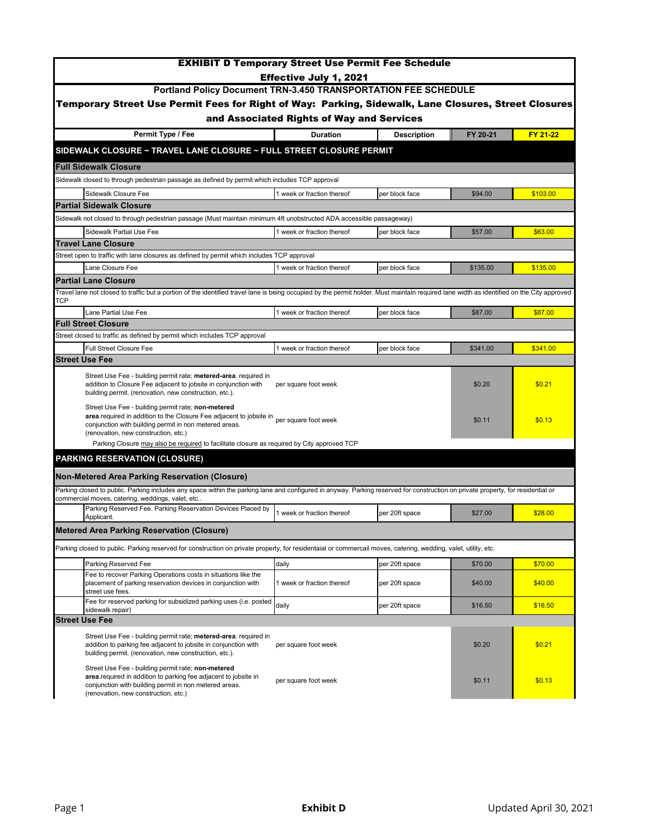|                                                                                                                                                                                                                                                  | <b>EXHIBIT D Temporary Street Use Permit Fee Schedule</b> |                    |          |          |
|--------------------------------------------------------------------------------------------------------------------------------------------------------------------------------------------------------------------------------------------------|-----------------------------------------------------------|--------------------|----------|----------|
|                                                                                                                                                                                                                                                  | <b>Effective July 1, 2021</b>                             |                    |          |          |
| Portland Policy Document TRN-3.450 TRANSPORTATION FEE SCHEDULE                                                                                                                                                                                   |                                                           |                    |          |          |
| Temporary Street Use Permit Fees for Right of Way: Parking, Sidewalk, Lane Closures, Street Closures                                                                                                                                             |                                                           |                    |          |          |
|                                                                                                                                                                                                                                                  | and Associated Rights of Way and Services                 |                    |          |          |
| Permit Type / Fee                                                                                                                                                                                                                                | <b>Duration</b>                                           | <b>Description</b> | FY 20-21 | FY 21-22 |
| SIDEWALK CLOSURE ~ TRAVEL LANE CLOSURE ~ FULL STREET CLOSURE PERMIT                                                                                                                                                                              |                                                           |                    |          |          |
| <b>Full Sidewalk Closure</b>                                                                                                                                                                                                                     |                                                           |                    |          |          |
| Sidewalk closed to through pedestrian passage as defined by permit which includes TCP approval                                                                                                                                                   |                                                           |                    |          |          |
| Sidewalk Closure Fee                                                                                                                                                                                                                             | 1 week or fraction thereof                                | per block face     | \$94.00  | \$103.00 |
| <b>Partial Sidewalk Closure</b>                                                                                                                                                                                                                  |                                                           |                    |          |          |
| Sidewalk not closed to through pedestrian passage (Must maintain minimum 4ft unobstructed ADA accessible passageway)                                                                                                                             |                                                           |                    |          |          |
| <b>Sidewalk Partial Use Fee</b>                                                                                                                                                                                                                  | 1 week or fraction thereof                                | per block face     | \$57.00  | \$63.00  |
| <b>Travel Lane Closure</b>                                                                                                                                                                                                                       |                                                           |                    |          |          |
| Street open to traffic with lane closures as defined by permit which includes TCP approval<br>Lane Closure Fee                                                                                                                                   | 1 week or fraction thereof                                | per block face     | \$135.00 | \$135.00 |
| <b>Partial Lane Closure</b>                                                                                                                                                                                                                      |                                                           |                    |          |          |
| Travel lane not closed to traffic but a portion of the identified travel lane is being occupied by the permit holder. Must maintain required lane width as identified on the City approved                                                       |                                                           |                    |          |          |
| TCP                                                                                                                                                                                                                                              |                                                           |                    |          |          |
| Lane Partial Use Fee                                                                                                                                                                                                                             | 1 week or fraction thereof                                | per block face     | \$87.00  | \$87.00  |
| <b>Full Street Closure</b>                                                                                                                                                                                                                       |                                                           |                    |          |          |
| Street closed to traffic as defined by permit which includes TCP approval<br><b>Full Street Closure Fee</b>                                                                                                                                      | 1 week or fraction thereof                                | per block face     | \$341.00 | \$341.00 |
| <b>Street Use Fee</b>                                                                                                                                                                                                                            |                                                           |                    |          |          |
|                                                                                                                                                                                                                                                  |                                                           |                    |          |          |
| Street Use Fee - building permit rate; metered-area. required in<br>addition to Closure Fee adjacent to jobsite in conjunction with<br>building permit. (renovation, new construction, etc.).                                                    | per square foot week                                      |                    | \$0.20   | \$0.21   |
| Street Use Fee - building permit rate; non-metered<br>area.required in addition to the Closure Fee adjacent to jobsite in per square foot week<br>conjunction with building permit in non metered areas.<br>(renovation, new construction, etc.) |                                                           |                    | \$0.11   | \$0.13   |
| Parking Closure may also be required to facilitate closure as required by City approved TCP                                                                                                                                                      |                                                           |                    |          |          |
| <b>PARKING RESERVATION (CLOSURE)</b>                                                                                                                                                                                                             |                                                           |                    |          |          |
| Non-Metered Area Parking Reservation (Closure)                                                                                                                                                                                                   |                                                           |                    |          |          |
| Parking closed to public. Parking includes any space within the parking lane and configured in anyway. Parking reserved for construction on private property, for residential or<br>commercial moves, catering, weddings, valet, etc             |                                                           |                    |          |          |
| Parking Reserved Fee. Parking Reservation Devices Placed by<br>Applicant.                                                                                                                                                                        | week or fraction thereof                                  | per 20ft space     | \$27.00  | \$28.00  |
| <b>Metered Area Parking Reservation (Closure)</b>                                                                                                                                                                                                |                                                           |                    |          |          |
| Parking closed to public. Parking reserved for construction on private property, for residentaial or commercail moves, catering, wedding, valet, utility, etc.                                                                                   |                                                           |                    |          |          |
| Parking Reserved Fee                                                                                                                                                                                                                             | daily                                                     | per 20ft space     | \$70.00  | \$70.00  |
| Fee to recover Parking Operations costs in situations like the<br>placement of parking reservation devices in conjunction with<br>street use fees.                                                                                               | 1 week or fraction thereof                                | per 20ft space     | \$40.00  | \$40.00  |
| Fee for reserved parking for subsidized parking uses (i.e. posted<br>sidewalk repair)                                                                                                                                                            | daily                                                     | per 20ft space     | \$16.50  | \$16.50  |
| <b>Street Use Fee</b>                                                                                                                                                                                                                            |                                                           |                    |          |          |
| Street Use Fee - building permit rate; metered-area. required in<br>addition to parking fee adjacent to jobsite in conjunction with<br>building permit. (renovation, new construction, etc.).                                                    | per square foot week                                      |                    | \$0.20   | \$0.21   |
| Street Use Fee - building permit rate; non-metered<br>area.required in addition to parking fee adjacent to jobsite in<br>conjunction with building permit in non metered areas.<br>(renovation, new construction, etc.)                          | per square foot week                                      |                    | \$0.11   | \$0.13   |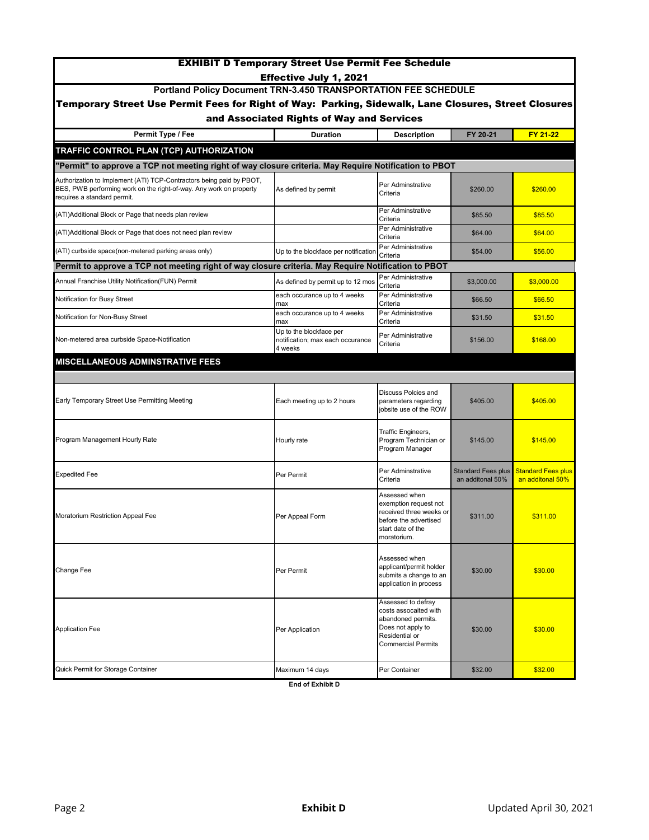| <b>EXHIBIT D Temporary Street Use Permit Fee Schedule</b><br>Effective July 1, 2021                                                                                       |                                                                        |                                                                                                                                       |                                        |                                               |
|---------------------------------------------------------------------------------------------------------------------------------------------------------------------------|------------------------------------------------------------------------|---------------------------------------------------------------------------------------------------------------------------------------|----------------------------------------|-----------------------------------------------|
| Portland Policy Document TRN-3.450 TRANSPORTATION FEE SCHEDULE                                                                                                            |                                                                        |                                                                                                                                       |                                        |                                               |
| Temporary Street Use Permit Fees for Right of Way: Parking, Sidewalk, Lane Closures, Street Closures                                                                      |                                                                        |                                                                                                                                       |                                        |                                               |
|                                                                                                                                                                           | and Associated Rights of Way and Services                              |                                                                                                                                       |                                        |                                               |
| Permit Type / Fee                                                                                                                                                         | <b>Duration</b>                                                        | <b>Description</b>                                                                                                                    | FY 20-21                               | FY 21-22                                      |
| <b>TRAFFIC CONTROL PLAN (TCP) AUTHORIZATION</b>                                                                                                                           |                                                                        |                                                                                                                                       |                                        |                                               |
| "Permit" to approve a TCP not meeting right of way closure criteria. May Require Notification to PBOT                                                                     |                                                                        |                                                                                                                                       |                                        |                                               |
| Authorization to Implement (ATI) TCP-Contractors being paid by PBOT,<br>BES, PWB performing work on the right-of-way. Any work on property<br>requires a standard permit. | As defined by permit                                                   | Per Adminstrative<br>Criteria                                                                                                         | \$260.00                               | \$260.00                                      |
| (ATI)Additional Block or Page that needs plan review                                                                                                                      |                                                                        | Per Adminstrative<br>Criteria                                                                                                         | \$85.50                                | \$85.50                                       |
| (ATI)Additional Block or Page that does not need plan review                                                                                                              |                                                                        | Per Administrative<br>Criteria                                                                                                        | \$64.00                                | \$64.00                                       |
| (ATI) curbside space(non-metered parking areas only)                                                                                                                      | Up to the blockface per notification                                   | Per Administrative<br>Criteria                                                                                                        | \$54.00                                | \$56.00                                       |
| Permit to approve a TCP not meeting right of way closure criteria. May Require Notification to PBOT                                                                       |                                                                        |                                                                                                                                       |                                        |                                               |
| Annual Franchise Utility Notification(FUN) Permit                                                                                                                         | As defined by permit up to 12 mos                                      | Per Administrative<br>Criteria                                                                                                        | \$3,000.00                             | \$3,000.00                                    |
| Notification for Busy Street                                                                                                                                              | each occurance up to 4 weeks<br>max                                    | Per Administrative<br>Criteria                                                                                                        | \$66.50                                | \$66.50                                       |
| Notification for Non-Busy Street                                                                                                                                          | each occurance up to 4 weeks<br>max                                    | Per Administrative<br>Criteria                                                                                                        | \$31.50                                | \$31.50                                       |
| Non-metered area curbside Space-Notification                                                                                                                              | Up to the blockface per<br>notification; max each occurance<br>4 weeks | Per Administrative<br>Criteria                                                                                                        | \$156.00                               | \$168.00                                      |
| <b>MISCELLANEOUS ADMINSTRATIVE FEES</b>                                                                                                                                   |                                                                        |                                                                                                                                       |                                        |                                               |
|                                                                                                                                                                           |                                                                        |                                                                                                                                       |                                        |                                               |
| Early Temporary Street Use Permitting Meeting                                                                                                                             | Each meeting up to 2 hours                                             | Discuss Polcies and<br>parameters regarding<br>jobsite use of the ROW                                                                 | \$405.00                               | \$405.00                                      |
| Program Management Hourly Rate                                                                                                                                            | Hourly rate                                                            | Traffic Engineers,<br>Program Technician or<br>Program Manager                                                                        | \$145.00                               | \$145.00                                      |
| <b>Expedited Fee</b>                                                                                                                                                      | Per Permit                                                             | Per Adminstrative<br>Criteria                                                                                                         | Standard Fees plus<br>an additonal 50% | <b>Standard Fees plus</b><br>an additonal 50% |
| Moratorium Restriction Appeal Fee                                                                                                                                         | Per Appeal Form                                                        | Assessed when<br>exemption request not<br>received three weeks or<br>before the advertised<br>start date of the<br>moratorium.        | \$311.00                               | \$311.00                                      |
| Change Fee                                                                                                                                                                | Per Permit                                                             | Assessed when<br>applicant/permit holder<br>submits a change to an<br>application in process                                          | \$30.00                                | \$30.00                                       |
| <b>Application Fee</b>                                                                                                                                                    | Per Application                                                        | Assessed to defray<br>costs assocaited with<br>abandoned permits.<br>Does not apply to<br>Residential or<br><b>Commercial Permits</b> | \$30.00                                | \$30.00                                       |
| Quick Permit for Storage Container                                                                                                                                        | Maximum 14 days                                                        | Per Container                                                                                                                         | \$32.00                                | \$32.00                                       |
|                                                                                                                                                                           | End of Exhibit D                                                       |                                                                                                                                       |                                        |                                               |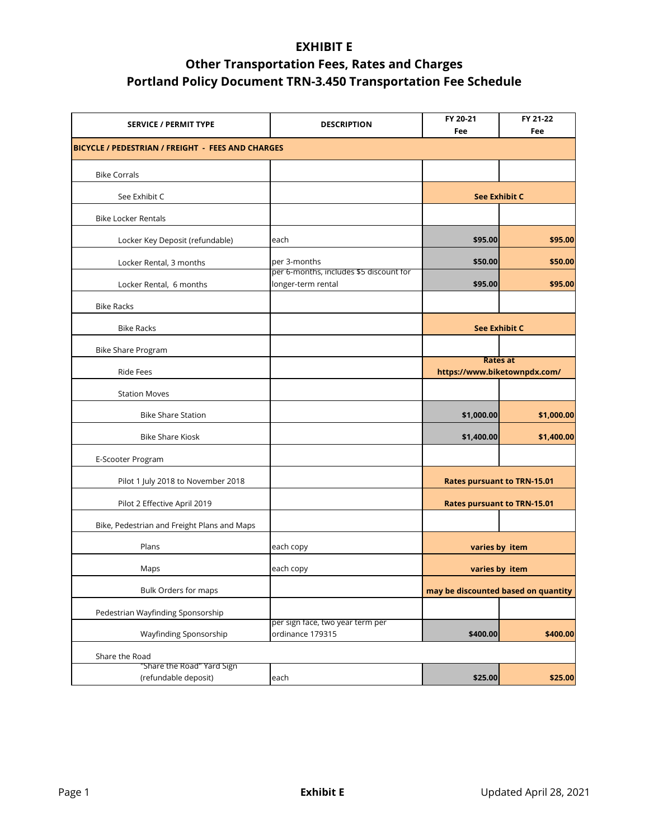| <b>SERVICE / PERMIT TYPE</b>                       | <b>DESCRIPTION</b>                                            | FY 20-21<br>Fee                                 | FY 21-22<br>Fee |
|----------------------------------------------------|---------------------------------------------------------------|-------------------------------------------------|-----------------|
| BICYCLE / PEDESTRIAN / FREIGHT - FEES AND CHARGES  |                                                               |                                                 |                 |
| <b>Bike Corrals</b>                                |                                                               |                                                 |                 |
| See Exhibit C                                      |                                                               | <b>See Exhibit C</b>                            |                 |
| <b>Bike Locker Rentals</b>                         |                                                               |                                                 |                 |
| Locker Key Deposit (refundable)                    | each                                                          | \$95.00                                         | \$95.00         |
| Locker Rental, 3 months                            | per 3-months                                                  | \$50.00                                         | \$50.00         |
| Locker Rental, 6 months                            | per 6-months, includes \$5 discount for<br>longer-term rental | \$95.00                                         | \$95.00         |
| <b>Bike Racks</b>                                  |                                                               |                                                 |                 |
| <b>Bike Racks</b>                                  |                                                               | <b>See Exhibit C</b>                            |                 |
| Bike Share Program                                 |                                                               |                                                 |                 |
| <b>Ride Fees</b>                                   |                                                               | <b>Rates at</b><br>https://www.biketownpdx.com/ |                 |
| <b>Station Moves</b>                               |                                                               |                                                 |                 |
| <b>Bike Share Station</b>                          |                                                               | \$1,000.00                                      | \$1,000.00      |
| <b>Bike Share Kiosk</b>                            |                                                               | \$1,400.00                                      | \$1,400.00      |
| E-Scooter Program                                  |                                                               |                                                 |                 |
| Pilot 1 July 2018 to November 2018                 |                                                               | <b>Rates pursuant to TRN-15.01</b>              |                 |
| Pilot 2 Effective April 2019                       |                                                               | <b>Rates pursuant to TRN-15.01</b>              |                 |
| Bike, Pedestrian and Freight Plans and Maps        |                                                               |                                                 |                 |
| Plans                                              | each copy                                                     | varies by item                                  |                 |
| Maps                                               | each copy                                                     | varies by item                                  |                 |
| Bulk Orders for maps                               |                                                               | may be discounted based on quantity             |                 |
| Pedestrian Wayfinding Sponsorship                  |                                                               |                                                 |                 |
| Wayfinding Sponsorship                             | per sign face, two year term per<br>ordinance 179315          | \$400.00                                        | \$400.00        |
| Share the Road                                     |                                                               |                                                 |                 |
| "Share the Road" Yard Sign<br>(refundable deposit) | each                                                          | \$25.00                                         | \$25.00         |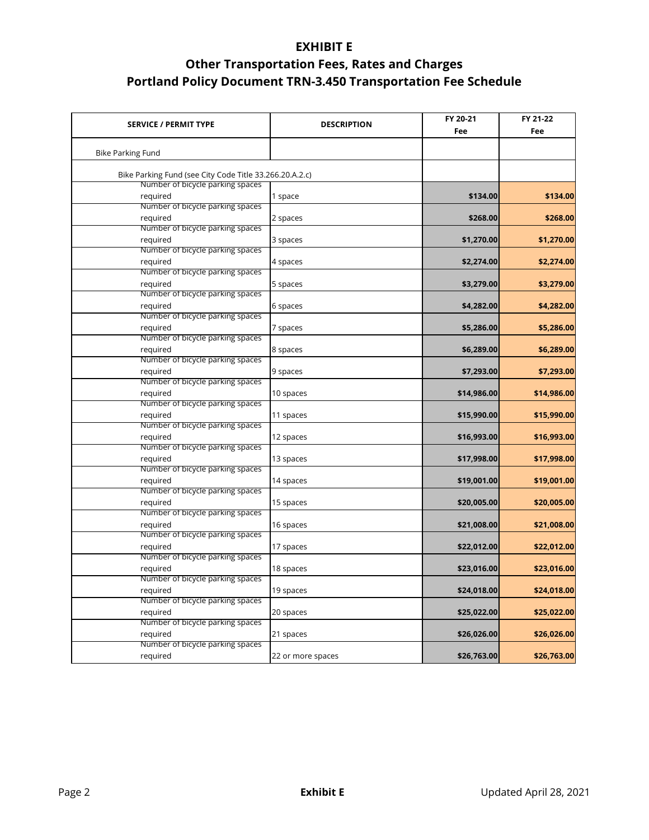| <b>SERVICE / PERMIT TYPE</b>                            | <b>DESCRIPTION</b> | FY 20-21<br>Fee | FY 21-22<br>Fee |
|---------------------------------------------------------|--------------------|-----------------|-----------------|
| <b>Bike Parking Fund</b>                                |                    |                 |                 |
| Bike Parking Fund (see City Code Title 33.266.20.A.2.c) |                    |                 |                 |
| Number of bicycle parking spaces<br>required            | 1 space            | \$134.00        | \$134.00        |
| Number of bicycle parking spaces                        |                    |                 |                 |
| required                                                | 2 spaces           | \$268.00        | \$268.00        |
| Number of bicycle parking spaces                        |                    |                 |                 |
| required                                                | 3 spaces           | \$1,270.00      | \$1,270.00      |
| Number of bicycle parking spaces                        |                    |                 |                 |
| required                                                | 4 spaces           | \$2,274.00      | \$2,274.00      |
| Number of bicycle parking spaces                        |                    |                 |                 |
| required                                                | 5 spaces           | \$3,279.00      | \$3,279.00      |
| Number of bicycle parking spaces                        |                    |                 |                 |
| required                                                | 6 spaces           | \$4,282.00      | \$4,282.00      |
| Number of bicycle parking spaces                        |                    |                 |                 |
| required                                                | 7 spaces           | \$5,286.00      | \$5,286.00      |
| Number of bicycle parking spaces                        |                    |                 |                 |
| required                                                | 8 spaces           | \$6,289.00      | \$6,289.00      |
| Number of bicycle parking spaces                        |                    |                 |                 |
| required                                                | 9 spaces           | \$7,293.00      | \$7,293.00      |
| Number of bicycle parking spaces                        |                    |                 |                 |
| required                                                | 10 spaces          | \$14,986.00     | \$14,986.00     |
| Number of bicycle parking spaces                        |                    |                 |                 |
| required                                                | 11 spaces          | \$15,990.00     | \$15,990.00     |
| Number of bicycle parking spaces                        |                    |                 |                 |
| required                                                | 12 spaces          | \$16,993.00     | \$16,993.00     |
| Number of bicycle parking spaces                        |                    |                 |                 |
| required                                                | 13 spaces          | \$17,998.00     | \$17,998.00     |
| Number of bicycle parking spaces                        |                    |                 |                 |
| required                                                | 14 spaces          | \$19,001.00     | \$19,001.00     |
| Number of bicycle parking spaces                        |                    |                 |                 |
| required                                                | 15 spaces          | \$20,005.00     | \$20,005.00     |
| Number of bicycle parking spaces                        |                    |                 |                 |
| required                                                | 16 spaces          | \$21,008.00     | \$21,008.00     |
| Number of bicycle parking spaces                        |                    |                 |                 |
| required                                                | 17 spaces          | \$22,012.00     | \$22,012.00     |
| Number of bicycle parking spaces                        |                    |                 |                 |
| required                                                | 18 spaces          | \$23,016.00     | \$23,016.00     |
| Number of bicycle parking spaces                        |                    |                 |                 |
| required                                                | 19 spaces          | \$24,018.00     | \$24,018.00     |
| Number of bicycle parking spaces                        |                    |                 |                 |
| required                                                | 20 spaces          | \$25,022.00     | \$25,022.00     |
| Number of bicycle parking spaces                        |                    |                 |                 |
| required                                                | 21 spaces          | \$26,026.00     | \$26,026.00     |
| Number of bicycle parking spaces                        |                    |                 |                 |
| required                                                | 22 or more spaces  | \$26,763.00     | \$26,763.00     |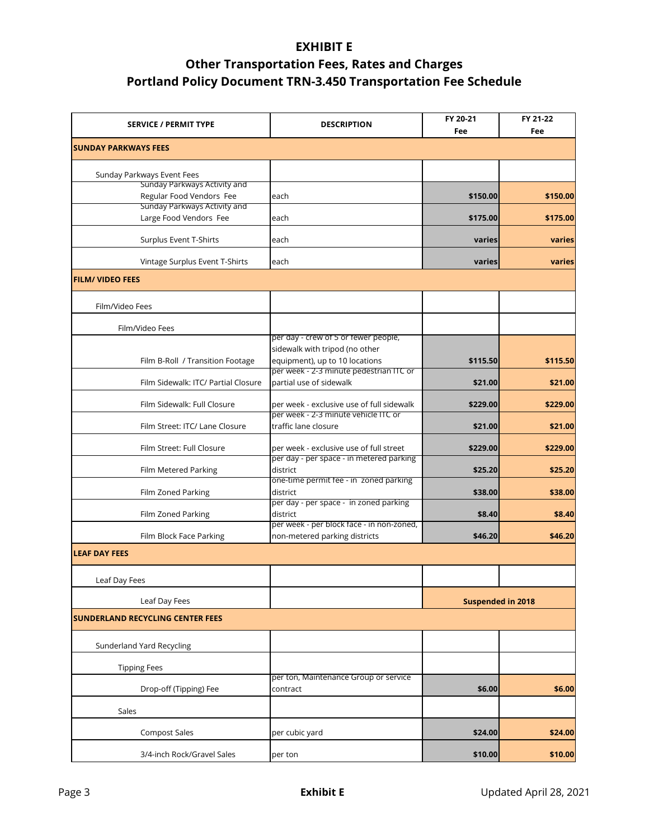| <b>SERVICE / PERMIT TYPE</b>            | <b>DESCRIPTION</b>                                                 | FY 20-21<br>Fee          | FY 21-22<br>Fee |
|-----------------------------------------|--------------------------------------------------------------------|--------------------------|-----------------|
| <b>SUNDAY PARKWAYS FEES</b>             |                                                                    |                          |                 |
| Sunday Parkways Event Fees              |                                                                    |                          |                 |
| Sunday Parkways Activity and            |                                                                    |                          |                 |
| Regular Food Vendors Fee                | each                                                               | \$150.00                 | \$150.00        |
| Sunday Parkways Activity and            |                                                                    |                          |                 |
| Large Food Vendors Fee                  | each                                                               | \$175.00                 | \$175.00        |
| Surplus Event T-Shirts                  | each                                                               | varies                   | varies          |
| Vintage Surplus Event T-Shirts          | each                                                               | varies                   | varies          |
| <b>FILM/ VIDEO FEES</b>                 |                                                                    |                          |                 |
| Film/Video Fees                         |                                                                    |                          |                 |
| Film/Video Fees                         |                                                                    |                          |                 |
|                                         | per day - crew of 5 or fewer people,                               |                          |                 |
|                                         | sidewalk with tripod (no other                                     |                          |                 |
| Film B-Roll / Transition Footage        | equipment), up to 10 locations                                     | \$115.50                 | \$115.50        |
| Film Sidewalk: ITC/ Partial Closure     | per week - 2-3 minute pedestrian ITC or<br>partial use of sidewalk | \$21.00                  | \$21.00         |
| Film Sidewalk: Full Closure             | per week - exclusive use of full sidewalk                          | \$229.00                 | \$229.00        |
| Film Street: ITC/ Lane Closure          | per week - 2-3 minute vehicle ITC or<br>traffic lane closure       | \$21.00                  | \$21.00         |
| Film Street: Full Closure               | per week - exclusive use of full street                            | \$229.00                 | \$229.00        |
|                                         | per day - per space - in metered parking                           |                          |                 |
| Film Metered Parking                    | district                                                           | \$25.20                  | \$25.20         |
|                                         | one-time permit fee - in zoned parking                             |                          |                 |
| Film Zoned Parking                      | district<br>per day - per space - in zoned parking                 | \$38.00                  | \$38.00         |
| Film Zoned Parking                      | district                                                           | \$8.40                   | \$8.40          |
|                                         | per week - per block face - in non-zoned,                          |                          |                 |
| Film Block Face Parking                 | non-metered parking districts                                      | \$46.20                  | \$46.20         |
| <b>LEAF DAY FEES</b>                    |                                                                    |                          |                 |
|                                         |                                                                    |                          |                 |
| Leaf Day Fees                           |                                                                    |                          |                 |
| Leaf Day Fees                           |                                                                    | <b>Suspended in 2018</b> |                 |
| <b>SUNDERLAND RECYCLING CENTER FEES</b> |                                                                    |                          |                 |
| Sunderland Yard Recycling               |                                                                    |                          |                 |
| <b>Tipping Fees</b>                     |                                                                    |                          |                 |
| Drop-off (Tipping) Fee                  | per ton, Maintenance Group or service<br>contract                  | \$6.00                   | \$6.00          |
| Sales                                   |                                                                    |                          |                 |
|                                         |                                                                    |                          |                 |
| <b>Compost Sales</b>                    | per cubic yard                                                     | \$24.00                  | \$24.00         |
| 3/4-inch Rock/Gravel Sales              | per ton                                                            | \$10.00                  | \$10.00         |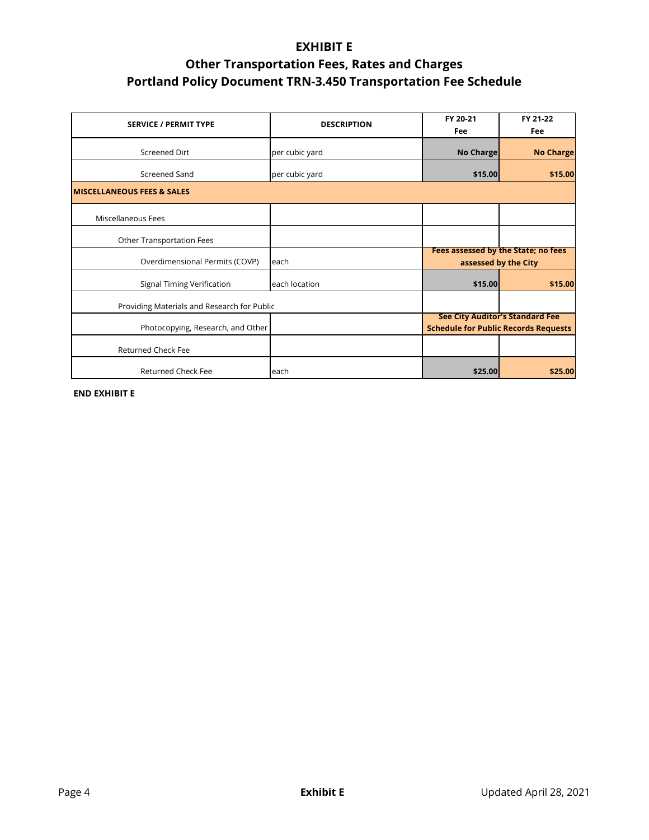| <b>SERVICE / PERMIT TYPE</b>                | <b>DESCRIPTION</b> | FY 20-21<br>Fee                                                                       | FY 21-22<br>Fee  |
|---------------------------------------------|--------------------|---------------------------------------------------------------------------------------|------------------|
| <b>Screened Dirt</b>                        | per cubic yard     | <b>No Charge</b>                                                                      | <b>No Charge</b> |
| Screened Sand                               | per cubic yard     | \$15.00                                                                               | \$15.00          |
| <b>MISCELLANEOUS FEES &amp; SALES</b>       |                    |                                                                                       |                  |
| Miscellaneous Fees                          |                    |                                                                                       |                  |
| Other Transportation Fees                   |                    |                                                                                       |                  |
| Overdimensional Permits (COVP)              | each               | Fees assessed by the State; no fees<br>assessed by the City                           |                  |
| Signal Timing Verification                  | each location      | \$15.00                                                                               |                  |
| Providing Materials and Research for Public |                    |                                                                                       |                  |
| Photocopying, Research, and Other           |                    | <b>See City Auditor's Standard Fee</b><br><b>Schedule for Public Records Requests</b> |                  |
| <b>Returned Check Fee</b>                   |                    |                                                                                       |                  |
| Returned Check Fee                          | each               | \$25.00                                                                               | \$25.00          |

**END EXHIBIT E**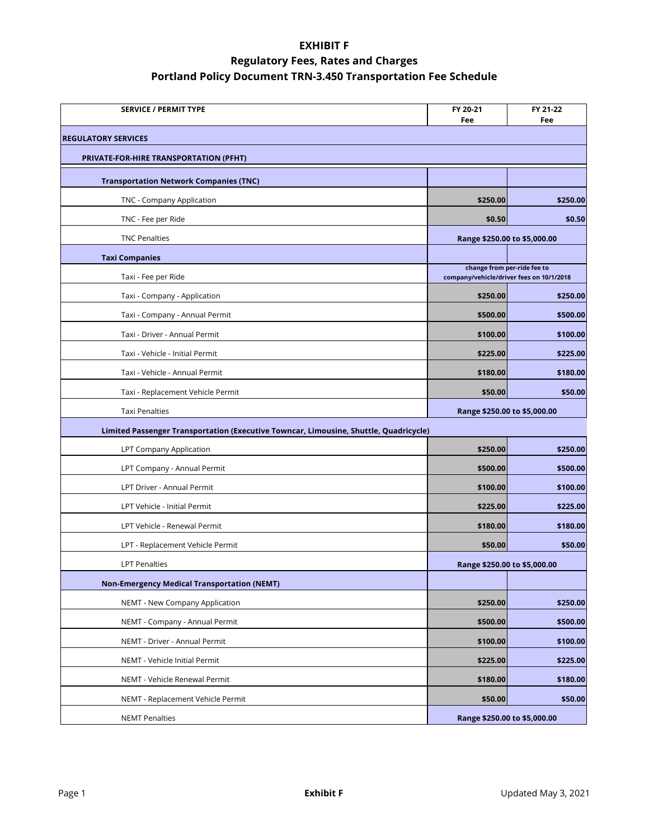| <b>SERVICE / PERMIT TYPE</b>                                                          | FY 20-21<br>Fee                          | FY 21-22<br>Fee             |  |  |
|---------------------------------------------------------------------------------------|------------------------------------------|-----------------------------|--|--|
| <b>REGULATORY SERVICES</b>                                                            |                                          |                             |  |  |
| <b>PRIVATE-FOR-HIRE TRANSPORTATION (PFHT)</b>                                         |                                          |                             |  |  |
| <b>Transportation Network Companies (TNC)</b>                                         |                                          |                             |  |  |
| TNC - Company Application                                                             | \$250.00                                 | \$250.00                    |  |  |
| TNC - Fee per Ride                                                                    | \$0.50                                   | \$0.50                      |  |  |
| <b>TNC Penalties</b>                                                                  | Range \$250.00 to \$5,000.00             |                             |  |  |
| <b>Taxi Companies</b>                                                                 |                                          |                             |  |  |
| Taxi - Fee per Ride                                                                   | company/vehicle/driver fees on 10/1/2018 | change from per-ride fee to |  |  |
| Taxi - Company - Application                                                          | \$250.00                                 | \$250.00                    |  |  |
| Taxi - Company - Annual Permit                                                        | \$500.00                                 | \$500.00                    |  |  |
| Taxi - Driver - Annual Permit                                                         | \$100.00                                 | \$100.00                    |  |  |
| Taxi - Vehicle - Initial Permit                                                       | \$225.00                                 | \$225.00                    |  |  |
| Taxi - Vehicle - Annual Permit                                                        | \$180.00                                 | \$180.00                    |  |  |
| Taxi - Replacement Vehicle Permit                                                     | \$50.00                                  | \$50.00                     |  |  |
| <b>Taxi Penalties</b>                                                                 | Range \$250.00 to \$5,000.00             |                             |  |  |
| Limited Passenger Transportation (Executive Towncar, Limousine, Shuttle, Quadricycle) |                                          |                             |  |  |
| LPT Company Application                                                               | \$250.00                                 | \$250.00                    |  |  |
| LPT Company - Annual Permit                                                           | \$500.00                                 | \$500.00                    |  |  |
| LPT Driver - Annual Permit                                                            | \$100.00                                 | \$100.00                    |  |  |
| LPT Vehicle - Initial Permit                                                          | \$225.00                                 | \$225.00                    |  |  |
| LPT Vehicle - Renewal Permit                                                          | \$180.00                                 | \$180.00                    |  |  |
| LPT - Replacement Vehicle Permit                                                      | \$50.00                                  | \$50.00                     |  |  |
| <b>LPT Penalties</b>                                                                  | Range \$250.00 to \$5,000.00             |                             |  |  |
| <b>Non-Emergency Medical Transportation (NEMT)</b>                                    |                                          |                             |  |  |
| NEMT - New Company Application                                                        | \$250.00                                 | \$250.00                    |  |  |
| NEMT - Company - Annual Permit                                                        | \$500.00                                 | \$500.00                    |  |  |
| NEMT - Driver - Annual Permit                                                         | \$100.00                                 | \$100.00                    |  |  |
| NEMT - Vehicle Initial Permit                                                         | \$225.00                                 | \$225.00                    |  |  |
| NEMT - Vehicle Renewal Permit                                                         | \$180.00                                 | \$180.00                    |  |  |
| NEMT - Replacement Vehicle Permit                                                     | \$50.00                                  | \$50.00                     |  |  |
| <b>NEMT Penalties</b>                                                                 | Range \$250.00 to \$5,000.00             |                             |  |  |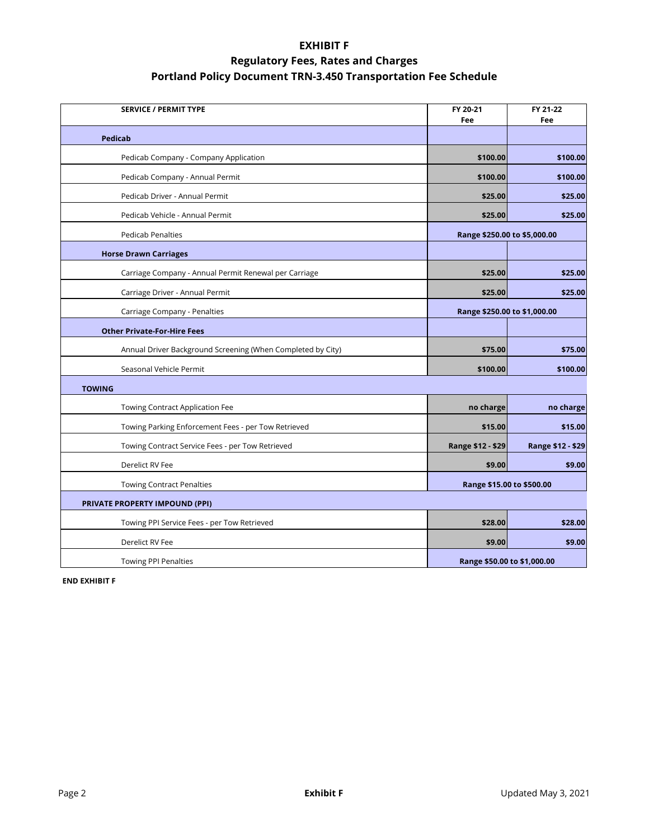| <b>SERVICE / PERMIT TYPE</b>                                | FY 20-21<br>Fee              | FY 21-22<br>Fee   |
|-------------------------------------------------------------|------------------------------|-------------------|
| Pedicab                                                     |                              |                   |
| Pedicab Company - Company Application                       | \$100.00                     | \$100.00          |
| Pedicab Company - Annual Permit                             | \$100.00                     | \$100.00          |
| Pedicab Driver - Annual Permit                              | \$25.00                      | \$25.00           |
| Pedicab Vehicle - Annual Permit                             | \$25.00                      | \$25.00           |
| <b>Pedicab Penalties</b>                                    | Range \$250.00 to \$5,000.00 |                   |
| <b>Horse Drawn Carriages</b>                                |                              |                   |
| Carriage Company - Annual Permit Renewal per Carriage       | \$25.00                      | \$25.00           |
| Carriage Driver - Annual Permit                             | \$25.00                      | \$25.00           |
| Carriage Company - Penalties                                | Range \$250.00 to \$1,000.00 |                   |
| <b>Other Private-For-Hire Fees</b>                          |                              |                   |
| Annual Driver Background Screening (When Completed by City) | \$75.00                      | \$75.00           |
| Seasonal Vehicle Permit                                     | \$100.00                     | \$100.00          |
| <b>TOWING</b>                                               |                              |                   |
| Towing Contract Application Fee                             | no charge                    | no charge         |
| Towing Parking Enforcement Fees - per Tow Retrieved         | \$15.00                      | \$15.00           |
| Towing Contract Service Fees - per Tow Retrieved            | Range \$12 - \$29            | Range \$12 - \$29 |
| Derelict RV Fee                                             | \$9.00                       | \$9.00            |
| <b>Towing Contract Penalties</b>                            | Range \$15.00 to \$500.00    |                   |
| PRIVATE PROPERTY IMPOUND (PPI)                              |                              |                   |
| Towing PPI Service Fees - per Tow Retrieved                 | \$28.00                      | \$28.00           |
| Derelict RV Fee                                             | \$9.00                       | \$9.00            |
| <b>Towing PPI Penalties</b>                                 | Range \$50.00 to \$1,000.00  |                   |

**END EXHIBIT F**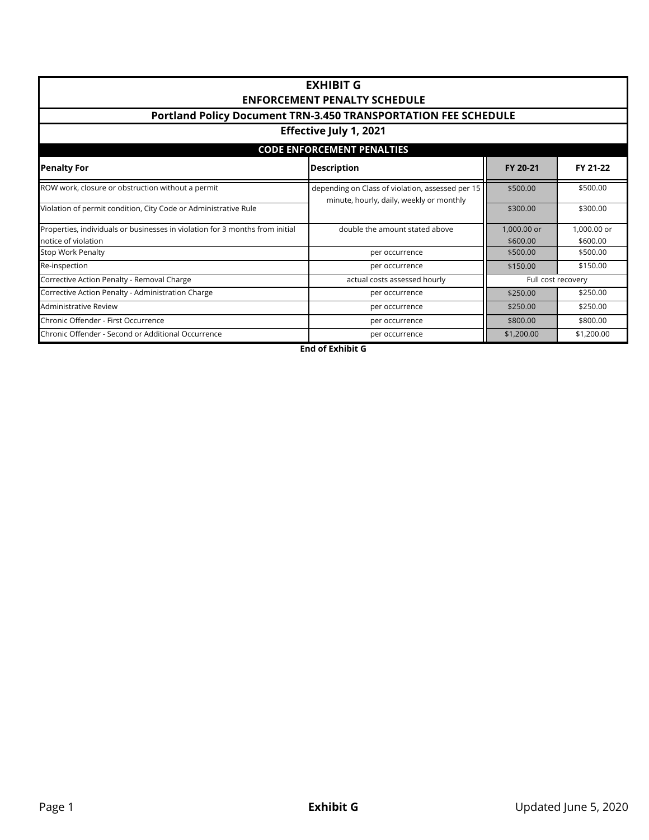| <b>EXHIBIT G</b><br><b>ENFORCEMENT PENALTY SCHEDULE</b><br>Portland Policy Document TRN-3.450 TRANSPORTATION FEE SCHEDULE<br>Effective July 1, 2021 |                                |                                                    |            |  |  |  |
|-----------------------------------------------------------------------------------------------------------------------------------------------------|--------------------------------|----------------------------------------------------|------------|--|--|--|
| <b>CODE ENFORCEMENT PENALTIES</b>                                                                                                                   |                                |                                                    |            |  |  |  |
| <b>Penalty For</b><br><b>Description</b><br>FY 20-21<br>FY 21-22                                                                                    |                                |                                                    |            |  |  |  |
| ROW work, closure or obstruction without a permit<br>depending on Class of violation, assessed per 15<br>minute, hourly, daily, weekly or monthly   |                                | \$500.00                                           | \$500.00   |  |  |  |
| Violation of permit condition, City Code or Administrative Rule                                                                                     |                                | \$300.00                                           | \$300.00   |  |  |  |
| Properties, individuals or businesses in violation for 3 months from initial<br>notice of violation                                                 | double the amount stated above | 1,000.00 or<br>1,000.00 or<br>\$600.00<br>\$600.00 |            |  |  |  |
| <b>Stop Work Penalty</b>                                                                                                                            | per occurrence                 | \$500.00                                           | \$500.00   |  |  |  |
| Re-inspection                                                                                                                                       | per occurrence                 | \$150.00<br>\$150.00                               |            |  |  |  |
| Corrective Action Penalty - Removal Charge                                                                                                          | actual costs assessed hourly   | Full cost recovery                                 |            |  |  |  |
| Corrective Action Penalty - Administration Charge<br>per occurrence                                                                                 |                                | \$250.00                                           | \$250.00   |  |  |  |
| Administrative Review                                                                                                                               | per occurrence                 | \$250.00<br>\$250.00                               |            |  |  |  |
| Chronic Offender - First Occurrence                                                                                                                 | per occurrence                 | \$800.00                                           | \$800.00   |  |  |  |
| Chronic Offender - Second or Additional Occurrence                                                                                                  | per occurrence                 | \$1,200.00                                         | \$1,200.00 |  |  |  |

**End of Exhibit G**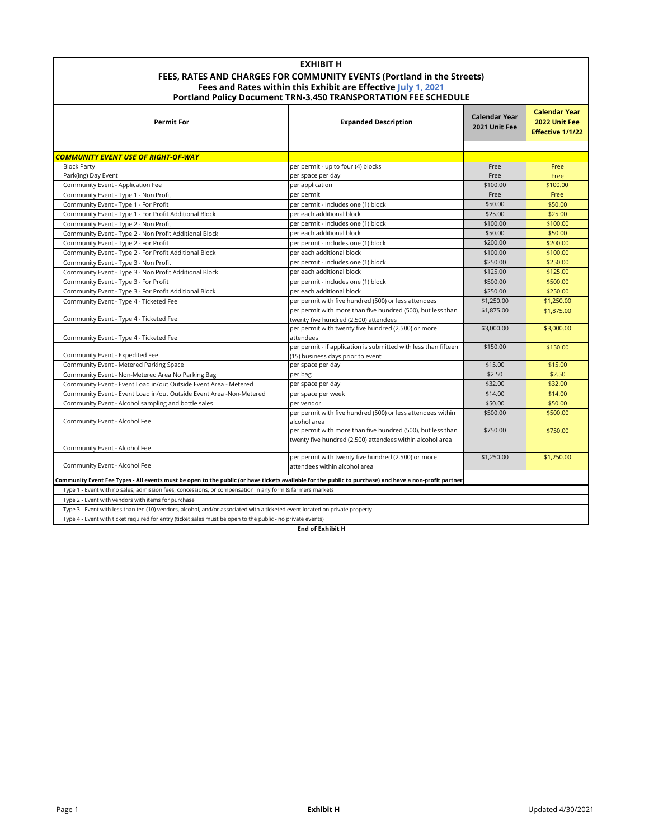| <b>EXHIBIT H</b>                                                       |
|------------------------------------------------------------------------|
| FEES. RATES AND CHARGES FOR COMMUNITY EVENTS (Portland in the Streets) |
| Fees and Rates within this Exhibit are Effective July 1, 2021          |
| Portland Policy Document TRN-3.450 TRANSPORTATION FEE SCHEDULE         |

| <b>Permit For</b>                                                                                                                                      | <b>Expanded Description</b>                                                                                              | <b>Calendar Year</b><br>2021 Unit Fee | <b>Calendar Year</b><br>2022 Unit Fee<br><b>Effective 1/1/22</b> |  |
|--------------------------------------------------------------------------------------------------------------------------------------------------------|--------------------------------------------------------------------------------------------------------------------------|---------------------------------------|------------------------------------------------------------------|--|
|                                                                                                                                                        |                                                                                                                          |                                       |                                                                  |  |
| COMMUNITY EVENT USE OF RIGHT-OF-WAY                                                                                                                    |                                                                                                                          |                                       |                                                                  |  |
| <b>Block Party</b>                                                                                                                                     | per permit - up to four (4) blocks                                                                                       | Free                                  | Free                                                             |  |
| Park(ing) Day Event                                                                                                                                    | per space per day                                                                                                        | Free                                  | Free                                                             |  |
| Community Event - Application Fee                                                                                                                      | per application                                                                                                          | \$100.00                              | \$100.00                                                         |  |
| Community Event - Type 1 - Non Profit                                                                                                                  | per permit                                                                                                               | Free                                  | Free                                                             |  |
| Community Event - Type 1 - For Profit                                                                                                                  | per permit - includes one (1) block                                                                                      | \$50.00                               | \$50.00                                                          |  |
| Community Event - Type 1 - For Profit Additional Block                                                                                                 | per each additional block                                                                                                | \$25.00                               | \$25.00                                                          |  |
| Community Event - Type 2 - Non Profit                                                                                                                  | per permit - includes one (1) block                                                                                      | \$100.00                              | \$100.00                                                         |  |
| Community Event - Type 2 - Non Profit Additional Block                                                                                                 | per each additional block                                                                                                | \$50.00                               | \$50.00                                                          |  |
| Community Event - Type 2 - For Profit                                                                                                                  | per permit - includes one (1) block                                                                                      | \$200.00                              | \$200.00                                                         |  |
| Community Event - Type 2 - For Profit Additional Block                                                                                                 | per each additional block                                                                                                | \$100.00                              | \$100.00                                                         |  |
| Community Event - Type 3 - Non Profit                                                                                                                  | per permit - includes one (1) block                                                                                      | \$250.00                              | \$250.00                                                         |  |
| Community Event - Type 3 - Non Profit Additional Block                                                                                                 | per each additional block                                                                                                | \$125.00                              | \$125.00                                                         |  |
| Community Event - Type 3 - For Profit                                                                                                                  | per permit - includes one (1) block                                                                                      | \$500.00                              | \$500.00                                                         |  |
| Community Event - Type 3 - For Profit Additional Block                                                                                                 | per each additional block                                                                                                | \$250.00                              | \$250.00                                                         |  |
| Community Event - Type 4 - Ticketed Fee                                                                                                                | per permit with five hundred (500) or less attendees                                                                     | \$1,250.00                            | \$1,250.00                                                       |  |
|                                                                                                                                                        | per permit with more than five hundred (500), but less than                                                              | \$1,875.00                            | \$1,875.00                                                       |  |
| Community Event - Type 4 - Ticketed Fee                                                                                                                | twenty five hundred (2,500) attendees                                                                                    |                                       |                                                                  |  |
|                                                                                                                                                        | per permit with twenty five hundred (2,500) or more                                                                      | \$3,000.00                            | \$3,000.00                                                       |  |
| Community Event - Type 4 - Ticketed Fee                                                                                                                | attendees                                                                                                                |                                       |                                                                  |  |
|                                                                                                                                                        | per permit - if application is submitted with less than fifteen                                                          | \$150.00                              | \$150.00                                                         |  |
| Community Event - Expedited Fee                                                                                                                        | (15) business days prior to event                                                                                        |                                       |                                                                  |  |
| Community Event - Metered Parking Space                                                                                                                | per space per day                                                                                                        | \$15.00                               | \$15.00                                                          |  |
| Community Event - Non-Metered Area No Parking Bag                                                                                                      | per bag                                                                                                                  | \$2.50                                | \$2.50                                                           |  |
| Community Event - Event Load in/out Outside Event Area - Metered                                                                                       | per space per day                                                                                                        | \$32.00                               | \$32.00                                                          |  |
| Community Event - Event Load in/out Outside Event Area -Non-Metered                                                                                    | per space per week                                                                                                       | \$14.00                               | \$14.00                                                          |  |
| Community Event - Alcohol sampling and bottle sales                                                                                                    | per vendor                                                                                                               | \$50.00                               | \$50.00                                                          |  |
|                                                                                                                                                        | per permit with five hundred (500) or less attendees within                                                              | \$500.00                              | \$500.00                                                         |  |
| Community Event - Alcohol Fee                                                                                                                          | alcohol area                                                                                                             |                                       |                                                                  |  |
|                                                                                                                                                        | per permit with more than five hundred (500), but less than<br>twenty five hundred (2,500) attendees within alcohol area | \$750.00                              | \$750.00                                                         |  |
| Community Event - Alcohol Fee                                                                                                                          |                                                                                                                          |                                       |                                                                  |  |
|                                                                                                                                                        | per permit with twenty five hundred (2,500) or more                                                                      | \$1,250.00                            | \$1,250.00                                                       |  |
| Community Event - Alcohol Fee                                                                                                                          | attendees within alcohol area                                                                                            |                                       |                                                                  |  |
|                                                                                                                                                        |                                                                                                                          |                                       |                                                                  |  |
| Community Event Fee Types - All events must be open to the public (or have tickets available for the public to purchase) and have a non-profit partner |                                                                                                                          |                                       |                                                                  |  |
| Type 1 - Event with no sales, admission fees, concessions, or compensation in any form & farmers markets                                               |                                                                                                                          |                                       |                                                                  |  |
| Type 2 - Event with vendors with items for purchase                                                                                                    |                                                                                                                          |                                       |                                                                  |  |
| Type 3 - Event with less than ten (10) vendors, alcohol, and/or associated with a ticketed event located on private property                           |                                                                                                                          |                                       |                                                                  |  |
| Type 4 - Event with ticket required for entry (ticket sales must be open to the public - no private events)                                            |                                                                                                                          |                                       |                                                                  |  |

**End of Exhibit H**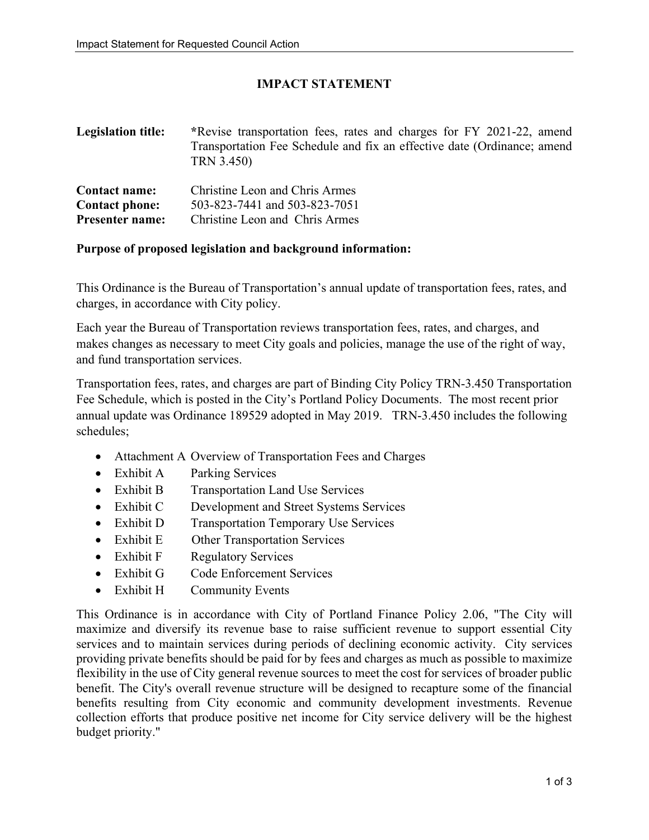### **IMPACT STATEMENT**

| <b>Legislation title:</b> | *Revise transportation fees, rates and charges for FY 2021-22, amend<br>Transportation Fee Schedule and fix an effective date (Ordinance; amend<br>TRN 3.450) |
|---------------------------|---------------------------------------------------------------------------------------------------------------------------------------------------------------|
| <b>Contact name:</b>      | Christine Leon and Chris Armes                                                                                                                                |
| Contact phonos            | $502.822.7441$ and $502.822.7051$                                                                                                                             |

**Contact phone:** 503-823-7441 and 503-823-7051 **Presenter name:** Christine Leon and Chris Armes

#### **Purpose of proposed legislation and background information:**

This Ordinance is the Bureau of Transportation's annual update of transportation fees, rates, and charges, in accordance with City policy.

Each year the Bureau of Transportation reviews transportation fees, rates, and charges, and makes changes as necessary to meet City goals and policies, manage the use of the right of way, and fund transportation services.

Transportation fees, rates, and charges are part of Binding City Policy TRN-3.450 Transportation Fee Schedule, which is posted in the City's Portland Policy Documents. The most recent prior annual update was Ordinance 189529 adopted in May 2019. TRN-3.450 includes the following schedules;

- Attachment A Overview of Transportation Fees and Charges
- Exhibit A Parking Services
- Exhibit B Transportation Land Use Services
- Exhibit C Development and Street Systems Services
- Exhibit D Transportation Temporary Use Services
- Exhibit E Other Transportation Services
- Exhibit F Regulatory Services
- Exhibit G Code Enforcement Services
- Exhibit H Community Events

This Ordinance is in accordance with City of Portland Finance Policy 2.06, "The City will maximize and diversify its revenue base to raise sufficient revenue to support essential City services and to maintain services during periods of declining economic activity. City services providing private benefits should be paid for by fees and charges as much as possible to maximize flexibility in the use of City general revenue sources to meet the cost for services of broader public benefit. The City's overall revenue structure will be designed to recapture some of the financial benefits resulting from City economic and community development investments. Revenue collection efforts that produce positive net income for City service delivery will be the highest budget priority."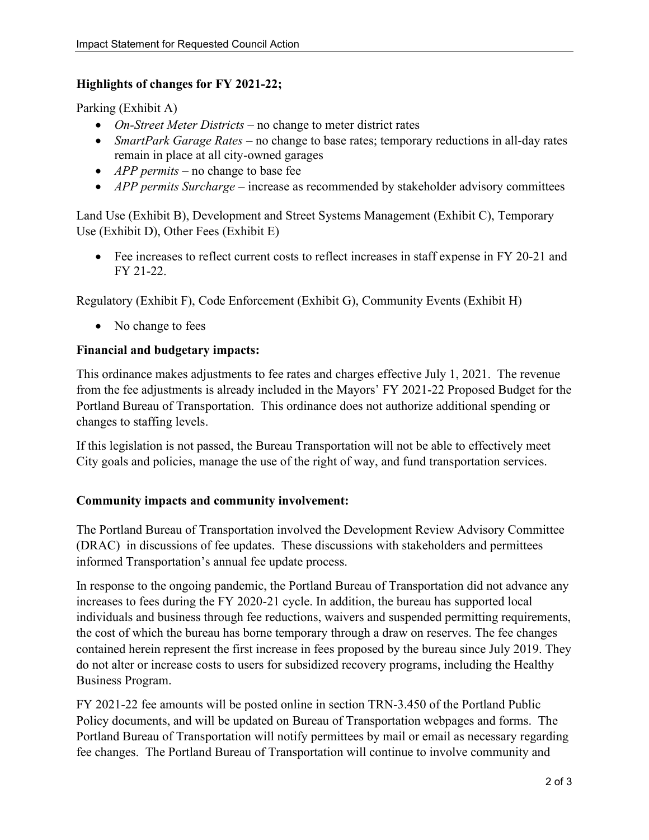### **Highlights of changes for FY 2021-22;**

Parking (Exhibit A)

- *On-Street Meter Districts* no change to meter district rates
- *SmartPark Garage Rates* no change to base rates; temporary reductions in all-day rates remain in place at all city-owned garages
- *APP permits* no change to base fee
- *APP permits Surcharge* increase as recommended by stakeholder advisory committees

Land Use (Exhibit B), Development and Street Systems Management (Exhibit C), Temporary Use (Exhibit D), Other Fees (Exhibit E)

• Fee increases to reflect current costs to reflect increases in staff expense in FY 20-21 and FY 21-22.

Regulatory (Exhibit F), Code Enforcement (Exhibit G), Community Events (Exhibit H)

• No change to fees

### **Financial and budgetary impacts:**

This ordinance makes adjustments to fee rates and charges effective July 1, 2021. The revenue from the fee adjustments is already included in the Mayors' FY 2021-22 Proposed Budget for the Portland Bureau of Transportation. This ordinance does not authorize additional spending or changes to staffing levels.

If this legislation is not passed, the Bureau Transportation will not be able to effectively meet City goals and policies, manage the use of the right of way, and fund transportation services.

### **Community impacts and community involvement:**

The Portland Bureau of Transportation involved the Development Review Advisory Committee (DRAC) in discussions of fee updates. These discussions with stakeholders and permittees informed Transportation's annual fee update process.

In response to the ongoing pandemic, the Portland Bureau of Transportation did not advance any increases to fees during the FY 2020-21 cycle. In addition, the bureau has supported local individuals and business through fee reductions, waivers and suspended permitting requirements, the cost of which the bureau has borne temporary through a draw on reserves. The fee changes contained herein represent the first increase in fees proposed by the bureau since July 2019. They do not alter or increase costs to users for subsidized recovery programs, including the Healthy Business Program.

FY 2021-22 fee amounts will be posted online in section TRN-3.450 of the Portland Public Policy documents, and will be updated on Bureau of Transportation webpages and forms. The Portland Bureau of Transportation will notify permittees by mail or email as necessary regarding fee changes. The Portland Bureau of Transportation will continue to involve community and